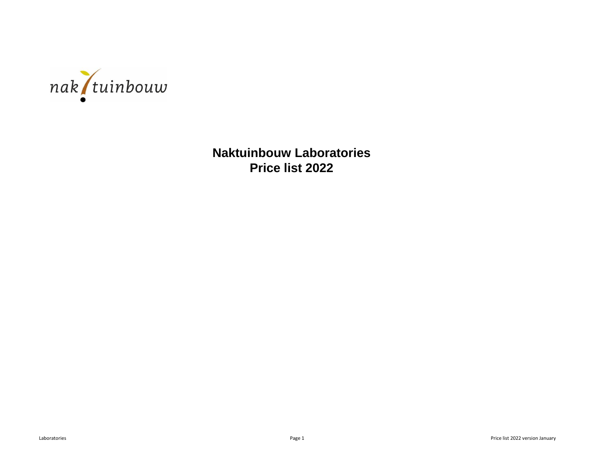

**Naktuinbouw Laboratories Price list 2022**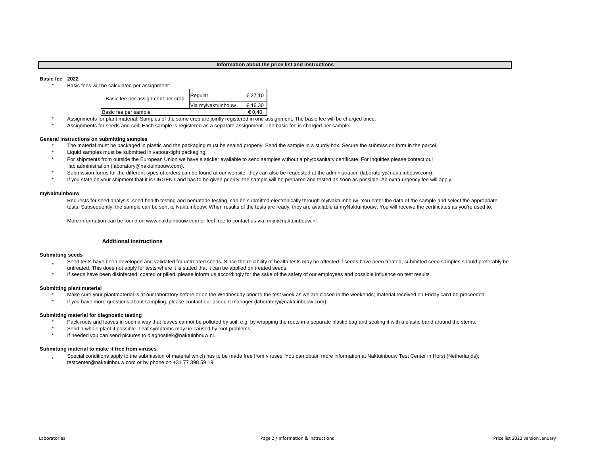## **Information about the price list and instructions**

## **Basic fee 2022**

\*

Basic fees will be calculated per assignment:

| Basic fee per assignment per crop | Regular           | € 27.10 |
|-----------------------------------|-------------------|---------|
|                                   | Via myNaktuinbouw | € 16.30 |
| Basic fee per sample              |                   | € 0.40  |

- Assignments for plant material: Samples of the same crop are jointly registered in one assignment. The basic fee will be charged once.
- Assignments for seeds and soil: Each sample is registered as a separate assignment. The basic fee is charged per sample.

## **General instructions on submitting samples**

- \* The material must be packaged in plastic and the packaging must be sealed properly. Send the sample in a sturdy box. Secure the submission form in the parcel.
- \* Liquid samples must be submitted in vapour-tight packaging.
- For shipments from outside the European Union we have a sticker available to send samples without a phytosanitary certificate. For inquiries please contact our lab administration (laboratory@naktuinbouw.com).
- Submission forms for the different types of orders can be found at our website, they can also be requested at the administration (laboratory@naktuinbouw.com).
- \* If you state on your shipment that it is URGENT and has to be given priority, the sample will be prepared and tested as soon as possible. An extra urgency fee will apply.

## **myNaktuinbouw**

Requests for seed analysis, seed health testing and nematode testing, can be submitted electronically through myNaktuinbouw. You enter the data of the sample and select the appropriate tests. Subsequently, the sample can be sent to Naktuinbouw. When results of the tests are ready, they are available at myNaktuinbouw. You will receive the certificates as you're used to.

More information can be found on www.naktuinbouw.com or feel free to contact us via: mijn@naktuinbouw.nl.

# **Additional instructions**

# **Submitting seeds**

- \* Seed tests have been developed and validated for untreated seeds. Since the reliability of health tests may be affected if seeds have been treated, submitted seed samples should preferably be untreated. This does not apply for tests where it is stated that it can be applied on treated seeds.
- \* If seeds have been disinfected, coated or pilled, please inform us accordingly for the sake of the safety of our employees and possible influence on test results.

## **Submitting plant material**

- \* Make sure your plantmaterial is at our laboratory before or on the Wednesday prior to the test week as we are closed in the weekends; material received on Friday can't be proceeded.
- \* If you have more questions about sampling, please contact our account manager (laboratory@naktuinbouw.com).

## **Submitting material for diagnostic testing**

- Pack roots and leaves in such a way that leaves cannot be polluted by soil, e.g. by wrapping the roots in a separate plastic bag and sealing it with a elastic band around the stems.
- \* Send a whole plant if possible. Leaf symptoms may be caused by root problems.
- \* If needed you can send pictures to diagnostiek@naktuinbouw.nl.

## **Submitting material to make it free from viruses**

\* Special conditions apply to the submission of material which has to be made free from viruses. You can obtain more information at Naktuinbouw Test Center in Horst (Netherlands); testcenter@naktuinbouw.com or by phone on +31 77 398 59 19.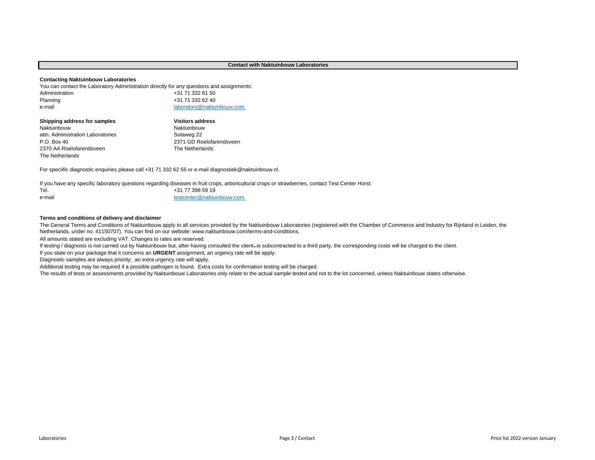# **Contact with Naktuinbouw Laboratories**

## **Contacting Naktuinbouw Laboratories**

You can contact the Laboratory Administration directly for any questions and assignments:

| Administration | +31 71 332 61 50           |
|----------------|----------------------------|
| Planning       | +31 71 332 62 40           |
| e-mail         | laboratory@naktuinbouw.com |

| Shipping address for samples      | <b>Visitors address</b>  |
|-----------------------------------|--------------------------|
| Naktuinbouw                       | Naktuinbouw              |
| attn. Administration Laboratories | Sotaweg 22               |
| P.O. Box 40                       | 2371 GD Roelofarendsveen |
| 2370 AA Roelofarendsveen          | The Netherlands          |
| The Netherlands                   |                          |

For speciific diagnostic enquiries please call +31 71 332 62 55 or e-mail diagnostiek@naktuinbouw.nl.

Tel. 1998 19 e-mail [testcenter@naktuinbouw.com](mailto:testcenter@naktuinbouw.com)  If you have any specific laboratory questions regarding diseases in fruit crops, arboricultural crops or strawberries, contact Test Center Horst:

## **Terms and conditions of delivery and disclaimer**

The General Terms and Conditions of Naktuinbouw apply to all services provided by the Naktuinbouw Laboratories (registered with the Chamber of Commerce and Industry for Rijnland in Leiden, the Netherlands, under no. 41150707). You can find on our website: www.naktuinbouw.com/terms-and-conditions.

All amounts stated are excluding VAT. Changes to rates are reserved.

If testing / diagnosis is not carried out by Naktuinbouw but, after having consulted the client,-is subcontracted to a third party, the corresponding costs will be charged to the client.

If you state on your package that it concerns an **URGENT** assignment, an urgency rate will be apply.

Diagnostic samples are always priority; an extra urgency rate will apply.

Additional testing may be required if a possible pathogen is found. Extra costs for confirmation testing will be charged.

The results of tests or assessments provided by Naktuinbouw Laboratories only relate to the actual sample tested and not to the lot concerned, unless Naktuinbouw states otherwise.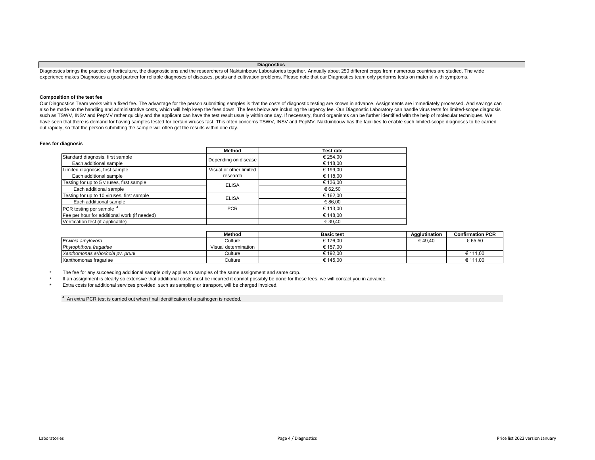## **Diagnostics**

Diagnostics brings the practice of horticulture, the diagnosticians and the researchers of Naktuinbouw Laboratories together. Annually about 250 different crops from numerous countries are studied. The wide experience makes Diagnostics a good partner for reliable diagnoses of diseases, pests and cultivation problems. Please note that our Diagnostics team only performs tests on material with symptoms.

# **Composition of the test fee**

Our Diagnostics Team works with a fixed fee. The advantage for the person submitting samples is that the costs of diagnostic testing are known in advance. Assignments are immediately processed. And savings can also be made on the handling and administrative costs, which will help keep the fees down. The fees below are including the urgency fee. Our Diagnostic Laboratory can handle virus tests for limited-scope diagnosis such as TSWV, INSV and PepMV rather quickly and the applicant can have the test result usually within one day. If necessary, found organisms can be further identified with the help of molecular techniques. We have seen that there is demand for having samples tested for certain viruses fast. This often concerns TSWV, INSV and PepMV. Naktuinbouw has the facilities to enable such limited-scope diagnoses to be carried out rapidly, so that the person submitting the sample will often get the results within one day.

## **Fees for diagnosis**

|                                              | Method                  | <b>Test rate</b> |
|----------------------------------------------|-------------------------|------------------|
| Standard diagnosis, first sample             | Depending on disease    | € 254,00         |
| Each additional sample                       |                         | € 118.00         |
| Limited diagnosis, first sample              | Visual or other limited | € 199,00         |
| Each additional sample                       | research                | € 118.00         |
| Testing for up to 5 viruses, first sample    | <b>ELISA</b>            | € 136,00         |
| Each additional sample                       |                         | € 62.50          |
| Testing for up to 10 viruses, first sample   | <b>ELISA</b>            | € 162.00         |
| Each addittional sample                      |                         | € 86.00          |
| PCR testing per sample <sup>4</sup>          | <b>PCR</b>              | € 113.00         |
| Fee per hour for additional work (if needed) |                         | € 148.00         |
| Verification test (if applicable)            |                         | € 39,40          |

|                                  | Method               | <b>Basic test</b> | Agglutination | <b>Confirmation PCR</b> |
|----------------------------------|----------------------|-------------------|---------------|-------------------------|
| Erwinia amvlovora                | Culture              | € 176.00          | € 49.40       | € 65.50                 |
| Phytophthora fragariae           | Visual determination | € 157.00          |               |                         |
| Xanthomonas arboricola pv. pruni | Culture              | € 192.00          |               | € 111.00                |
| Xanthomonas fragariae            | Culture              | € 145.00          |               | € 111.00                |

\* The fee for any succeeding additional sample only applies to samples of the same assignment and same crop.

If an assignment is clearly so extensive that additional costs must be incurred it cannot possibly be done for these fees, we will contact you in advance.

Extra costs for additional services provided, such as sampling or transport, will be charged invoiced.

 $4$  An extra PCR test is carried out when final identification of a pathogen is needed.

\* \*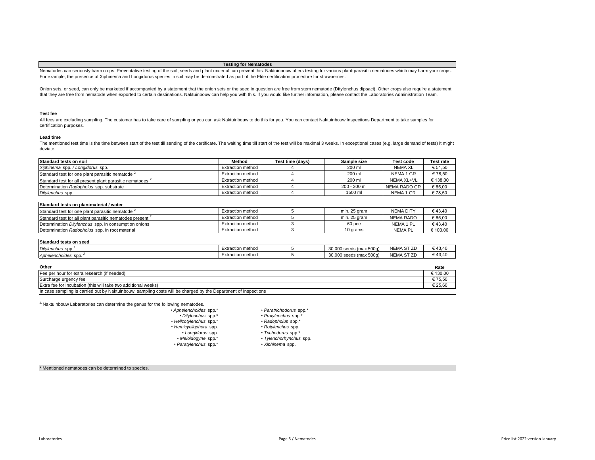## **Testing for Nematodes**

Nematodes can seriously harm crops. Preventative testing of the soil, seeds and plant material can prevent this. Naktuinbouw offers testing for various plant-parasitic nematodes which may harm your crops. For example, the presence of Xiphinema and Longidorus species in soil may be demonstrated as part of the Elite certification procedure for strawberries.

Onion sets, or seed, can only be marketed if accompanied by a statement that the onion sets or the seed in question are free from stem nematode (Ditylenchus dipsaci). Other crops also require a statement that they are free from nematode when exported to certain destinations. Naktuinbouw can help you with this. If you would like further information, please contact the Laboratories Administration Team.

## **Test fee**

All fees are excluding sampling. The customar has to take care of sampling or you can ask Naktuinbouw to do this for you. You can contact Naktuinbouw Inspections Department to take samples for certification purposes.

#### **Lead time**

The mentioned test time is the time between start of the test till sending of the certificate. The waiting time till start of the test will be maximal 3 weeks. In exceptional cases (e.g. large demand of tests) it might deviate.

| Standard tests on soil                                               | Method              | Test time (davs) | Sample size  | <b>Test code</b> | Test rate |
|----------------------------------------------------------------------|---------------------|------------------|--------------|------------------|-----------|
| Xiphinema spp./Longidorus spp.                                       | Extraction method I |                  | 200 ml       | <b>NEMA XL</b>   | € 51,50   |
| Standard test for one plant parasitic nematode 4                     | Extraction method   |                  | 200 ml       | NEMA 1 GR        | €78.50    |
| Standard test for all present plant parasitic nematodes <sup>2</sup> | Extraction method I |                  | 200 ml       | NEMA XL+VL       | € 138.00  |
| Determination Radopholus spp. substrate                              | Extraction method   |                  | 200 - 300 ml | NEMA RADO GR     | \$65,00   |
| Ditylenchus spp.                                                     | Extraction method   |                  | 1500 ml      | NEMA 1 GR        | \$78,50   |

## **Standard tests on plantmaterial / water**

| Standard test for one plant parasitic nematode 1                     | Extraction method   | min. 25 gram | <b>NEMA DITY</b> | €43.40  |
|----------------------------------------------------------------------|---------------------|--------------|------------------|---------|
| Standard test for all plant parasitic nematodes present <sup>4</sup> | Extraction method   | min. 25 gram | NEMA RADO        | € 65,00 |
| Determination <i>Ditvlenchus</i> spp. in consumption onions          | Extraction method I | 60 pce       | NEMA 1 PL        | €43.40  |
| Determination Radopholus spp. in root material                       | Extraction method I | 10 grams     | <b>NEMA PL</b>   | 103.00  |

## **Standard tests on seed**

| .                         |                        |                                                      |                            |       |
|---------------------------|------------------------|------------------------------------------------------|----------------------------|-------|
| <b>Ditvlenchus</b><br>spp | ı method<br>exiraciion | 30,000<br>) seeds (max 500g).                        | $---$<br><b>NEMA</b><br>ັ  | 43.40 |
| Aphelenchoides spp.       | Extraction method      | 30.00 <sup>c</sup><br>$- - -$<br>) seeds (max 500ɑ). | $\sim$ $ -$<br><b>NEMA</b> | 43.40 |

| Other                                                                                                           | Rate |
|-----------------------------------------------------------------------------------------------------------------|------|
| Fee per hour for extra research (if needed)                                                                     |      |
| Surcharge urgency fee                                                                                           |      |
| Extra fee for incubation (this will take two additional weeks)                                                  |      |
| In case sampling is carried out by Naktuinbouw, sampling costs will be charged by the Department of Inspections |      |

 $2$ , Naktuinbouw Labaratories can determine the genus for the following nematodes.

| • Paratrichodorus spp.* |  |  |
|-------------------------|--|--|
|-------------------------|--|--|

• *Pratylenchus* spp.\* • *Radopholus* spp.\*

- - *Rotylenchus* spp. • *Trichodorus* spp.\*
- *Longidorus* spp. • *Meloidogyne* spp.\*

• *Aphelenchoides* spp.\* • *Ditylenchus* spp.\* • *Helicotylenchus* spp.\* • *Hemicycliophora* spp.

• *Paratylenchus* spp.\*

• *Tylenchorhynchus* spp.

# • *Xiphinema* spp.

\* Mentioned nematodes can be determined to species.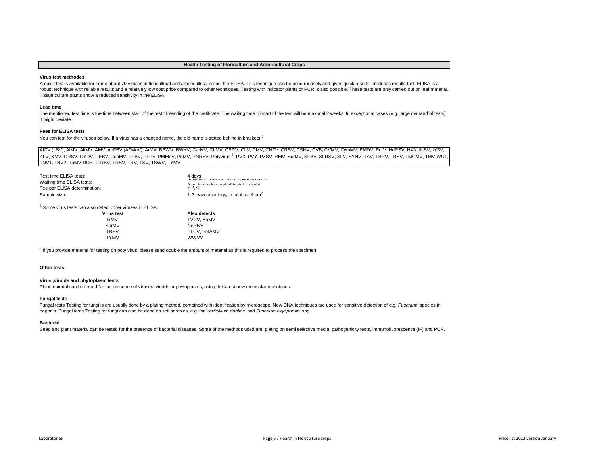## **Health Testing of Floriculture and Arboricultural Crops**

## **Virus test methodes**

A quick test is available for some about 70 viruses in floricultural and arboricultural crops: the ELISA. This technique can be used routinely and gives quick results. produces results fast. ELISA is a robust technique with reliable results and a relatively low cost price compared to other techniques. Testing with indicator plants or PCR is also possible. These tests are only carried out on leaf material. Tissue culture plants show a reduced sensitivity in the ELISA.

## **Lead time**

The mentioned test time is the time between start of the test till sending of the certificate. The waiting time till start of the test will be maximal 2 weeks. In exceptional cases (e.g. large demand of tests) it might deviate.

## **Fees for ELISA tests**

You can test for the viruses below. If a virus has a changed name, the old name is stated behind in brackets <sup>5</sup>

AICV (LSV), AIMV, AIMV, AMV, AnFBV (AFMoV), ArMV, BBWV, BWYV, CarMV, CbMV, CERV, CLV, CMV, CNFV, CRSV, CSNV, CVB, CVMV, CymMV, EMDV, ErLV, HdRSV, HVX, INSV, IYSV, KLV, KMV, ORSV, OYDV, PEBV, PepMV, PFBV, PLPV, PMMoV, PnMV, PNRSV, Potyvirus <sup>6</sup>, PVX, PVY, PZSV, RMV, ScrMV, SFBV, SLRSV, SLV, SYNV, TAV, TBRV, TBSV, TMGMV, TMV-WU1, TNV1, TNV2, ToMV-DO3, ToRSV, TRSV, TRV, TSV, TSWV, TYMV

| Test time ELISA tests:<br>Waiting time ELISA tests:<br>Fee per ELISA determination: | 4 davs<br>πιαλίπιαι Ζ weens. In exceptional cases<br>for a former dependent of the stability and size<br>$\epsilon$ 2.70 |
|-------------------------------------------------------------------------------------|--------------------------------------------------------------------------------------------------------------------------|
| Sample size:                                                                        | 1-2 leaves/cuttings, in total ca. 4 cm <sup>2</sup>                                                                      |

5 Some virus tests can also detect other viruses in ELISA:

| Virus test  | Also detects        |
|-------------|---------------------|
| <b>RMV</b>  | <b>TVCV. YoMV</b>   |
| ScrMV       | NeRNV               |
| <b>TBSV</b> | <b>PLCV. PetAMV</b> |
| <b>TYMV</b> | <b>WWVV</b>         |

<sup>6</sup> If you provide material for testing on poty virus, please send double the amount of material as this is required to process the specimen.

# **Other tests**

# **Virus ,viroids and phytoplasm tests**

Plant material can be tested for the presence of viruses, viroids or phytoplasms, using the latest new molecular techniques.

## **Fungal tests**

Fungal tests Testing for fungi is are usually done by a plating method, combined with identification by microscope. New DNA techniques are used for sensitive detection of e.g. *Fusarium* species in begonia. Fungal tests Testing for fungi can also be done on soil samples, e.g. for *Verticillium dahliae* and *Fusarium oxysporum* spp.

## **Bacterial**

Seed and plant material can be tested for the presence of bacterial diseases. Some of the methods used are: plating on semi selective media, pathogenicity tests, immunofluorescence (IF) and PCR.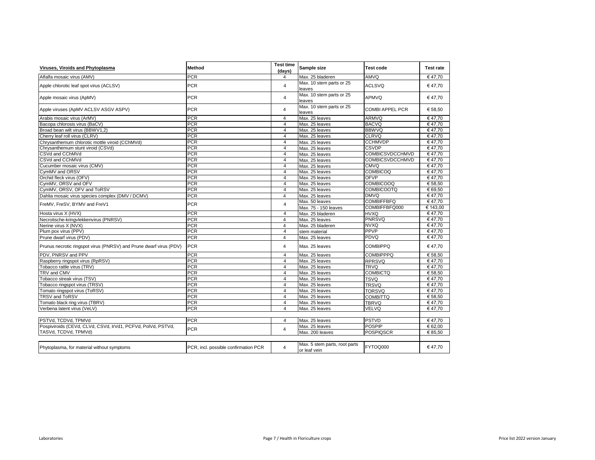| Viruses. Viroids and Phytoplasma                                   | Method                               | <b>Test time</b><br>(days) | Sample size                                   | <b>Test code</b>       | <b>Test rate</b> |
|--------------------------------------------------------------------|--------------------------------------|----------------------------|-----------------------------------------------|------------------------|------------------|
| Alfalfa mosaic virus (AMV)                                         | <b>PCR</b>                           | $\overline{4}$             | Max. 25 bladeren                              | AMVQ                   | €47,70           |
| Apple chlorotic leaf spot virus (ACLSV)                            | <b>PCR</b>                           | $\overline{4}$             | Max. 10 stem parts or 25<br>leaves            | <b>ACLSVQ</b>          | €47,70           |
| Apple mosaic virus (ApMV)                                          | <b>PCR</b>                           | $\overline{4}$             | Max. 10 stem parts or 25<br>leaves            | APMVQ                  | €47.70           |
| Apple viruses (ApMV ACLSV ASGV ASPV)                               | <b>PCR</b>                           | $\overline{\mathbf{4}}$    | Max. 10 stem parts or 25<br>leaves            | <b>COMBI APPEL PCR</b> | € 58,50          |
| Arabis mosaic virus (ArMV)                                         | <b>PCR</b>                           | $\overline{4}$             | Max. 25 leaves                                | ARMVQ                  | €47.70           |
| Bacopa chlorosis virus (BaCV)                                      | <b>PCR</b>                           | $\overline{4}$             | Max. 25 leaves                                | <b>BACVQ</b>           | €47,70           |
| Broad bean wilt virus (BBWV1,2)                                    | <b>PCR</b>                           | $\overline{4}$             | Max. 25 leaves                                | <b>BBWVQ</b>           | €47,70           |
| Cherry leaf roll virus (CLRV)                                      | <b>PCR</b>                           | $\overline{4}$             | Max. 25 leaves                                | <b>CLRVQ</b>           | €47,70           |
| Chrysanthemum chlorotic mottle viroid (CChMVd)                     | <b>PCR</b>                           | $\overline{4}$             | Max. 25 leaves                                | <b>CCHMVDP</b>         | €47.70           |
| Chrysanthemum stunt viroid (CSVd)                                  | <b>PCR</b>                           | $\overline{4}$             | Max. 25 leaves                                | <b>CSVDP</b>           | €47.70           |
| CSVd and CChMVd                                                    | <b>PCR</b>                           | $\overline{4}$             | Max. 25 leaves                                | COMBICSVDCCHMVD        | €47.70           |
| CSVd and CChMVd                                                    | <b>PCR</b>                           | $\overline{4}$             | Max. 25 leaves                                | COMBICSVDCCHMVD        | €47,70           |
| Cucumber mosaic virus (CMV)                                        | <b>PCR</b>                           | $\overline{4}$             | Max. 25 leaves                                | <b>CMVQ</b>            | €47,70           |
| CvmMV and ORSV                                                     | <b>PCR</b>                           | $\overline{4}$             | Max. 25 leaves                                | <b>COMBICOQ</b>        | €47,70           |
| Orchid fleck virus (OFV)                                           | <b>PCR</b>                           | $\overline{4}$             | Max. 25 leaves                                | OFVP                   | €47.70           |
| CymMV, ORSV and OFV                                                | <b>PCR</b>                           | $\overline{4}$             | Max. 25 leaves                                | <b>COMBICOOQ</b>       | € 58,50          |
| CymMV, ORSV, OFV and ToRSV                                         | <b>PCR</b>                           | $\overline{4}$             | Max. 25 leaves                                | <b>COMBICOOTQ</b>      | € 69,50          |
| Dahlia mosaic virus species complex (DMV / DCMV)                   | <b>PCR</b>                           | $\overline{4}$             | Max. 25 leaves                                | <b>DMVQ</b>            | €47,70           |
| FreMV, FreSV, BYMV and FreV1                                       | <b>PCR</b>                           | $\overline{4}$             | Max. 50 leaves                                | <b>COMBIFFBFQ</b>      | €47,70           |
|                                                                    |                                      |                            | Max. 75 - 150 leaves                          | COMBIFFBFQ000          | € 143,00         |
| Hosta virus X (HVX)                                                | <b>PCR</b>                           | $\overline{4}$             | Max. 25 bladeren                              | <b>HVXQ</b>            | €47,70           |
| Necrotische-kringvlekkenvirus (PNRSV)                              | <b>PCR</b>                           | $\overline{4}$             | Max. 25 leaves                                | <b>PNRSVQ</b>          | €47,70           |
| Nerine virus X (NVX)                                               | <b>PCR</b>                           | $\overline{4}$             | Max. 25 bladeren                              | <b>NVXQ</b>            | €47,70           |
| Plum pox virus (PPV)                                               | <b>PCR</b>                           | $\overline{4}$             | stem material                                 | PPVP                   | €47.70           |
| Prune dwarf virus (PDV)                                            | <b>PCR</b>                           | $\overline{4}$             | Max. 25 leaves                                | PDVQ                   | €47,70           |
| Prunus necrotic ringspot virus (PNRSV) and Prune dwarf virus (PDV) | <b>PCR</b>                           | $\overline{4}$             | Max. 25 leaves                                | <b>COMBIPPQ</b>        | €47,70           |
| PDV, PNRSV and PPV                                                 | <b>PCR</b>                           | $\overline{4}$             | Max. 25 leaves                                | <b>COMBIPPPQ</b>       | € 58.50          |
| Raspberry ringspot virus (RpRSV)                                   | <b>PCR</b>                           | $\overline{4}$             | Max. 25 leaves                                | <b>RPRSVQ</b>          | €47.70           |
| Tobacco rattle virus (TRV)                                         | <b>PCR</b>                           | $\overline{4}$             | Max. 25 leaves                                | <b>TRVO</b>            | €47.70           |
| TRV and CMV                                                        | <b>PCR</b>                           | $\overline{4}$             | Max. 25 leaves                                | <b>COMBICTQ</b>        | € 58,50          |
| Tobacco streak virus (TSV)                                         | <b>PCR</b>                           | $\overline{4}$             | Max. 25 leaves                                | <b>TSVQ</b>            | €47,70           |
| Tobacco ringspot virus (TRSV)                                      | <b>PCR</b>                           | $\overline{4}$             | Max. 25 leaves                                | <b>TRSVQ</b>           | €47,70           |
| Tomato ringspot virus (ToRSV)                                      | <b>PCR</b>                           | $\overline{4}$             | Max. 25 leaves                                | <b>TORSVQ</b>          | €47.70           |
| <b>TRSV and ToRSV</b>                                              | <b>PCR</b>                           | $\overline{4}$             | Max. 25 leaves                                | <b>COMBITTQ</b>        | € 58,50          |
| Tomato black ring virus (TBRV)                                     | <b>PCR</b>                           | $\overline{4}$             | Max. 25 leaves                                | <b>TBRVQ</b>           | €47,70           |
| Verbena latent virus (VeLV)                                        | <b>PCR</b>                           | $\overline{4}$             | Max. 25 leaves                                | VELVQ                  | €47,70           |
|                                                                    |                                      |                            |                                               |                        |                  |
| PSTVd. TCDVd. TPMVd                                                | <b>PCR</b>                           | $\overline{4}$             | Max. 25 leaves                                | <b>PSTVD</b>           | €47.70           |
| Pospiviroids (CEVd, CLVd, CSVd, IrVd1, PCFVd, PolVd, PSTVd,        | <b>PCR</b>                           |                            | Max. 25 leaves                                | <b>POSPIP</b>          | € 62,00          |
| TASVd, TCDVd, TPMVd)                                               |                                      | $\overline{4}$             | Max. 200 leaves                               | <b>POSPIQSCR</b>       | € 85,50          |
| Phytoplasma, for material without symptoms                         | PCR, incl. possible confirmation PCR | $\overline{4}$             | Max. 5 stem parts, root parts<br>or leaf vein | FYTOQ000               | €47,70           |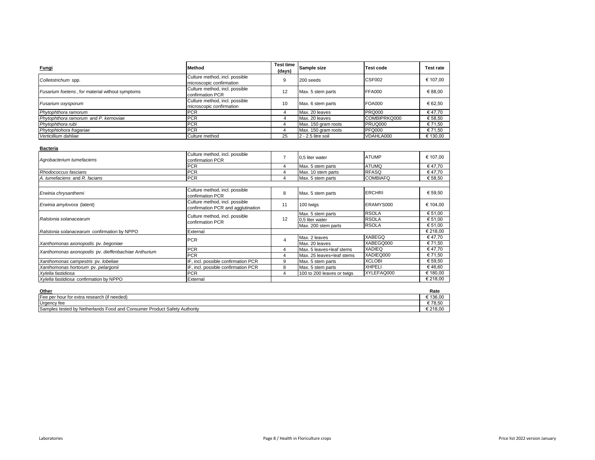| Fungi                                           | <b>Method</b>                                              | <b>Test time</b><br>(days) | Sample size          | <b>Test code</b> | <b>Test rate</b> |
|-------------------------------------------------|------------------------------------------------------------|----------------------------|----------------------|------------------|------------------|
| Colletotrichum spp.                             | Culture method, incl. possible<br>microscopic confirmation | q                          | 200 seeds            | CSF002           | € 107.00         |
| Fusarium foetens, for material without symptoms | Culture method, incl. possible<br>confirmation PCR         | 12                         | Max. 5 stem parts    | FFA000           | € 88.00          |
| Fusarium oxysporum                              | Culture method, incl. possible<br>microscopic confirmation | 10                         | Max. 6 stem parts    | FOA000           | € 62.50          |
| Phytophthora ramorum                            | <b>PCR</b>                                                 |                            | Max. 20 leaves       | <b>PRQ000</b>    | €47.70           |
| Phytophthora ramorum and P. kernoviae           | <b>PCR</b>                                                 |                            | Max. 20 leaves       | COMBIPRKQ000     | € 58.50          |
| Phytophthora rubi                               | <b>PCR</b>                                                 |                            | Max. 150 gram roots  | PRUQ000          | € 71.50          |
| Phytophtohora fragariae                         | <b>PCR</b>                                                 |                            | Max. 150 gram roots  | PFQ000           | € 71.50          |
| Verticillium dahliae                            | Culture method                                             | 25                         | $2 - 2.5$ litre soil | VDAHLA000        | € 130,00         |

| Bacteria |  |
|----------|--|
|          |  |
|          |  |

| Agrobacterium tumefaciens                           | Culture method, incl. possible<br>confirmation PCR                   |                | 0,5 liter water            | <b>ATUMP</b>    | € 107.00 |
|-----------------------------------------------------|----------------------------------------------------------------------|----------------|----------------------------|-----------------|----------|
|                                                     | <b>PCR</b>                                                           | 4              | Max. 5 stem parts          | <b>ATUMQ</b>    | €47,70   |
| Rhodococcus fascians                                | <b>PCR</b>                                                           | 4              | Max. 10 stem parts         | <b>RFASQ</b>    | €47,70   |
| A. tumefaciens and R. facians                       | <b>PCR</b>                                                           | 4              | Max. 5 stem parts          | <b>COMBIAFQ</b> | € 58,50  |
|                                                     |                                                                      |                |                            |                 |          |
| Erwinia chrysanthemi                                | Culture method, incl. possible<br>confirmation PCR                   | 8              | Max. 5 stem parts          | <b>ERCHRI</b>   | € 59,50  |
| Erwinia amylovora (latent)                          | Culture method, incl. possible<br>confirmation PCR and agglutination | 11             | 100 twigs                  | ERAMYS000       | € 104,00 |
|                                                     | Culture method, incl. possible<br>confirmation PCR                   | 12             | Max. 5 stem parts          | <b>RSOLA</b>    | € 51,00  |
| Ralstonia solanacearum                              |                                                                      |                | 0.5 liter water            | <b>RSOLA</b>    | € 51,00  |
|                                                     |                                                                      |                | Max. 200 stem parts        | <b>RSOLA</b>    | € 51,00  |
| Ralstonia solanacearum confirmation by NPPO         | External                                                             |                |                            |                 | € 218,00 |
|                                                     | <b>PCR</b>                                                           | $\overline{4}$ | Max. 2 leaves              | <b>XABEGQ</b>   | € 47,70  |
| Xanthomonas axonopodis pv. begoniae                 |                                                                      |                | Max. 20 leaves             | XABEGQ000       | € 71,50  |
| Xanthomonas axonopodis pv. dieffenbachiae Anthurium | <b>PCR</b>                                                           | 4              | Max. 5 leaves+leaf stems   | <b>XADIEQ</b>   | €47,70   |
|                                                     | <b>PCR</b>                                                           | 4              | Max. 25 leaves+leaf stems  | XADIEQ000       | € 71,50  |
| Xanthomonas campestris pv. lobeliae                 | IF, incl. possible confirmation PCR                                  | 9              | Max. 5 stem parts          | <b>XCLOBI</b>   | € 59,50  |
| Xanthomonas hortorum pv. pelargonii                 | IF, incl. possible confirmation PCR                                  | 8              | Max. 5 stem parts          | <b>XHPELI</b>   | €46,60   |
| Xylella fastidiosa                                  | <b>PCR</b>                                                           | 4              | 100 to 200 leaves or twigs | XYLEFAQ000      | € 180,00 |
| Xylella fastidiosa confirmation by NPPO             | External                                                             |                |                            |                 | € 218,00 |

| Other                                                                           | Rate               |
|---------------------------------------------------------------------------------|--------------------|
| (if needed)<br>Fee per hour for extra research                                  | 10000<br>136.UU    |
| Urgency fee                                                                     | $- - - -$<br>78.5L |
| Samples tested by Netherlands Food and L<br>، Consumer Product Safety Authority | 218.00             |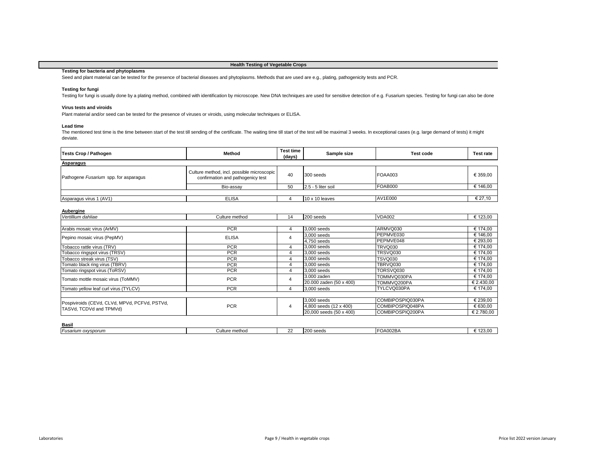# **Health Testing of Vegetable Crops**

# **Testing for bacteria and phytoplasms**

Seed and plant material can be tested for the presence of bacterial diseases and phytoplasms. Methods that are used are e.g., plating, pathogenicity tests and PCR.

# **Testing for fungi**

Testing for fungi is usually done by a plating method, combined with identification by microscope. New DNA techniques are used for sensitive detection of e.g. Fusarium species. Testing for fungi can also be done

# **Virus tests and viroids**

Plant material and/or seed can be tested for the presence of viruses or viroids, using molecular techniques or ELISA.

# **Lead time**

The mentioned test time is the time between start of the test till sending of the certificate. The waiting time till start of the test will be maximal 3 weeks. In exceptional cases (e.g. large demand of tests) it might deviate.

| <b>Tests Crop / Pathogen</b>          | Method                                                                          | <b>Test time</b><br>(days) | Sample size           | Test code | <b>Test rate</b> |  |  |  |
|---------------------------------------|---------------------------------------------------------------------------------|----------------------------|-----------------------|-----------|------------------|--|--|--|
| Asparagus                             |                                                                                 |                            |                       |           |                  |  |  |  |
| Pathogene Fusarium spp. for asparagus | Culture method, incl. possible microscopic<br>confirmation and pathogenicy test | 40                         | 300 seeds             | FOAA003   | € 359,00         |  |  |  |
|                                       | Bio-assay                                                                       | 50                         | 2.5 - 5 liter soil    | FOAB000   | € 146,00         |  |  |  |
|                                       |                                                                                 |                            |                       |           |                  |  |  |  |
| Asparagus virus 1 (AV1)               | <b>ELISA</b>                                                                    |                            | $10 \times 10$ leaves | AV1E000   | € 27,10          |  |  |  |

| Vertillium dahliae                                                       | Culture method | 14             | 200 seeds               | <b>VDA002</b>    | € 123,00   |
|--------------------------------------------------------------------------|----------------|----------------|-------------------------|------------------|------------|
|                                                                          |                |                |                         |                  |            |
| Arabis mosaic virus (ArMV)                                               | <b>PCR</b>     | 4              | 3,000 seeds             | ARMVQ030         | € 174,00   |
| Pepino mosaic virus (PepMV)                                              | <b>ELISA</b>   | 4              | 3,000 seeds             | PEPMVE030        | € 146,00   |
|                                                                          |                |                | 4,750 seeds             | PEPMVE048        | € 293,00   |
| Tobacco rattle virus (TRV)                                               | <b>PCR</b>     | 4              | 3,000 seeds             | TRVQ030          | € 174.00   |
| Tobacco ringspot virus (TRSV)                                            | <b>PCR</b>     | 4              | 3,000 seeds             | TRSVQ030         | € 174,00   |
| Tobacco streak virus (TSV)                                               | <b>PCR</b>     | 4              | 3,000 seeds             | TSVQ030          | € 174,00   |
| Tomato black ring virus (TBRV)                                           | <b>PCR</b>     | 4              | 3,000 seeds             | TBRVQ030         | € 174,00   |
| Tomato ringspot virus (ToRSV)                                            | <b>PCR</b>     | 4              | 3.000 seeds             | TORSVQ030        | € 174.00   |
| Tomato mottle mosaic virus (ToMMV)                                       | <b>PCR</b>     | $\overline{4}$ | 3.000 zaden             | TOMMVQ030PA      | € 174,00   |
|                                                                          |                |                | 20.000 zaden (50 x 400) | TOMMVQ200PA      | € 2.430,00 |
| Tomato yellow leaf curl virus (TYLCV)                                    | <b>PCR</b>     | 4              | 3.000 seeds             | TYLCVQ030PA      | € 174,00   |
|                                                                          |                |                |                         |                  |            |
|                                                                          |                |                | 3,000 seeds             | COMBIPOSPIQ030PA | € 239,00   |
| Pospiviroids (CEVd, CLVd, MPVd, PCFVd, PSTVd,<br>TASVd, TCDVd and TPMVd) | <b>PCR</b>     | 4              | 4,800 seeds (12 x 400)  | COMBIPOSPIQ048PA | € 630,00   |
|                                                                          |                |                | 20,000 seeds (50 x 400) | COMBIPOSPIQ200PA | € 2.780,00 |

| wash               |                |              |                                |               |                         |
|--------------------|----------------|--------------|--------------------------------|---------------|-------------------------|
| Fusarium oxysporum | Culture method | $\sim$<br>-- | $\sim$<br>cood.<br>⊥∠∪∪<br>ouu | <b>7A002B</b> | $\lambda$<br>m<br>ں ے ا |
|                    |                |              |                                |               |                         |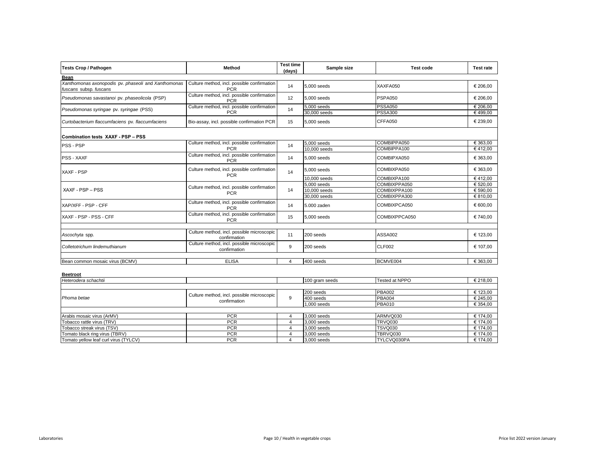| <b>Tests Crop / Pathogen</b>                                                  | Method                                                     | <b>Test time</b><br>(days) | Sample size                 | <b>Test code</b>                 | <b>Test rate</b>    |
|-------------------------------------------------------------------------------|------------------------------------------------------------|----------------------------|-----------------------------|----------------------------------|---------------------|
| Bean                                                                          |                                                            |                            |                             |                                  |                     |
| Xanthomonas axonopodis pv. phaseoli and Xanthomonas<br>fuscans subsp. fuscans | Culture method, incl. possible confirmation<br><b>PCR</b>  | 14                         | 5.000 seeds                 | XAXFA050                         | € 206,00            |
| Pseudomonas savastanoi pv. phaseolicola (PSP)                                 | Culture method, incl. possible confirmation<br><b>PCR</b>  | 12                         | 5.000 seeds                 | PSPA050                          | € 206.00            |
| Pseudomonas syringae pv. syringae (PSS)                                       | Culture method, incl. possible confirmation<br><b>PCR</b>  | 14                         | 5,000 seeds<br>30,000 seeds | <b>PSSA050</b><br><b>PSSA300</b> | € 206.00<br>€499.00 |
| Curtobacterium flaccumfaciens pv. flaccumfaciens                              | Bio-assay, incl. possible confirmation PCR                 | 15                         | 5.000 seeds                 | CFFA050                          | € 239.00            |
| Combination tests XAXF - PSP - PSS                                            |                                                            |                            |                             |                                  |                     |
| PSS - PSP                                                                     | Culture method, incl. possible confirmation                | 14                         | 5,000 seeds                 | COMBIPPA050                      | € 363.00            |
|                                                                               | <b>PCR</b>                                                 |                            | 10,000 seeds                | COMBIPPA100                      | €412,00             |
| <b>PSS - XAXF</b>                                                             | Culture method, incl. possible confirmation<br><b>PCR</b>  | 14                         | 5,000 seeds                 | COMBIPXA050                      | € 363,00            |
| <b>XAXF - PSP</b>                                                             | Culture method, incl. possible confirmation<br><b>PCR</b>  | 14                         | 5,000 seeds                 | COMBIXPA050                      | € 363,00            |
|                                                                               |                                                            |                            | 10,000 seeds                | COMBIXPA100                      | €412.00             |
|                                                                               | Culture method, incl. possible confirmation<br><b>PCR</b>  | 14                         | 5,000 seeds                 | COMBIXPPA050                     | € 520,00            |
| XAXF - PSP - PSS                                                              |                                                            |                            | 10,000 seeds                | COMBIXPPA100                     | € 590.00            |
|                                                                               |                                                            |                            | 30,000 seeds                | COMBIXPPA300                     | €810,00             |
| XAP/XFF - PSP - CFF                                                           | Culture method, incl. possible confirmation<br><b>PCR</b>  | 14                         | 5.000 zaden                 | COMBIXPCA050                     | € 600,00            |
| XAXF - PSP - PSS - CFF                                                        | Culture method, incl. possible confirmation<br><b>PCR</b>  | 15                         | 5.000 seeds                 | COMBIXPPCA050                    | € 740,00            |
|                                                                               |                                                            |                            |                             |                                  |                     |
| Ascochyta spp.                                                                | Culture method, incl. possible microscopic<br>confirmation | 11                         | 200 seeds                   | ASSA002                          | € 123,00            |
| Colletotrichum lindemuthianum                                                 | Culture method, incl. possible microscopic<br>confirmation | $\mathbf{q}$               | 200 seeds                   | <b>CLF002</b>                    | € 107,00            |
|                                                                               |                                                            |                            |                             |                                  |                     |
| Bean common mosaic virus (BCMV)                                               | <b>ELISA</b>                                               | $\overline{4}$             | 400 seeds                   | BCMVE004                         | € 363,00            |
| <b>Beetroot</b>                                                               |                                                            |                            |                             |                                  |                     |
| Heterodera schachtii                                                          |                                                            |                            | 100 gram seeds              | Tested at NPPO                   | € 218,00            |
|                                                                               |                                                            |                            |                             |                                  |                     |
|                                                                               | Culture method, incl. possible microscopic                 |                            | 200 seeds                   | <b>PBA002</b>                    | € 123.00            |
| Phoma betae                                                                   | confirmation                                               | 9                          | 400 seeds                   | <b>PBA004</b>                    | € 245,00            |
|                                                                               |                                                            |                            | $1.000$ coode               | DRA010                           | 6,351,00            |

| <i>ricleiuucid suiduilli</i>          |                                            |   | Tuu giani seeds | Tested at NPPO | $E \times 10,00$ |
|---------------------------------------|--------------------------------------------|---|-----------------|----------------|------------------|
|                                       |                                            |   |                 |                |                  |
| Phoma betae                           | Culture method, incl. possible microscopic |   | 200 seeds       | <b>PBA002</b>  | € 123,00         |
|                                       | confirmation                               | 9 | 400 seeds       | <b>PBA004</b>  | € 245,00         |
|                                       |                                            |   | 1,000 seeds     | <b>PBA010</b>  | € 354,00         |
|                                       |                                            |   |                 |                |                  |
| Arabis mosaic virus (ArMV)            | <b>PCR</b>                                 |   | 3.000 seeds     | ARMVQ030       | € 174.00         |
| Tobacco rattle virus (TRV)            | <b>PCR</b>                                 |   | 3,000 seeds     | <b>TRVQ030</b> | € 174,00         |
| Tobacco streak virus (TSV)            | <b>PCR</b>                                 |   | 3,000 seeds     | <b>TSVQ030</b> | € 174,00         |
| Tomato black ring virus (TBRV)        | <b>PCR</b>                                 |   | 3.000 seeds     | TBRVQ030       | € 174,00         |
| Tomato vellow leaf curl virus (TYLCV) | <b>PCR</b>                                 |   | 3.000 seeds     | TYLCVQ030PA    | € 174.00         |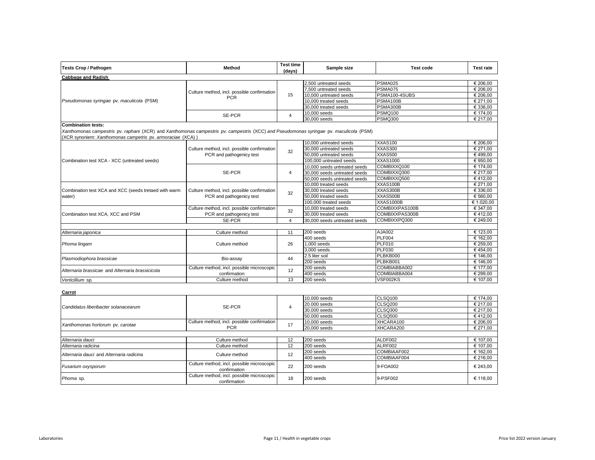| <b>Tests Crop / Pathogen</b>                                                                                                                                                                                                      | Method                                                                  | <b>Test time</b><br>(days) | Sample size                  | <b>Test code</b> | <b>Test rate</b> |
|-----------------------------------------------------------------------------------------------------------------------------------------------------------------------------------------------------------------------------------|-------------------------------------------------------------------------|----------------------------|------------------------------|------------------|------------------|
| <b>Cabbage and Radish</b>                                                                                                                                                                                                         |                                                                         |                            |                              |                  |                  |
|                                                                                                                                                                                                                                   |                                                                         |                            | 2,500 untreated seeds        | <b>PSMA025</b>   | € 206,00         |
|                                                                                                                                                                                                                                   | Culture method, incl. possible confirmation                             |                            | 7,500 untreated seeds        | <b>PSMA075</b>   | € 206,00         |
|                                                                                                                                                                                                                                   | <b>PCR</b>                                                              | 15                         | 10,000 untreated seeds       | PSMA100-4SUBS    | € 206,00         |
| Pseudomonas syringae pv. maculicola (PSM)                                                                                                                                                                                         |                                                                         |                            | 10,000 treated seeds         | PSMA100B         | € 271,00         |
|                                                                                                                                                                                                                                   |                                                                         |                            | 30,000 treated seeds         | PSMA300B         | € 336.00         |
|                                                                                                                                                                                                                                   | <b>SE-PCR</b>                                                           | $\overline{4}$             | 10,000 seeds                 | <b>PSMQ100</b>   | € 174,00         |
|                                                                                                                                                                                                                                   |                                                                         |                            | $30,000$ seeds               | <b>PSMQ300</b>   | € 217.00         |
| <b>Combination tests:</b><br>Xanthomonas campestris pv. raphani (XCR) and Xanthomonas campestris pv. campestris (XCC) and Pseudomonas syringae pv. maculicola (PSM)<br>(XCR synoniem: Xanthomonas campetris pv. armoraciae (XCA)) |                                                                         |                            |                              |                  |                  |
|                                                                                                                                                                                                                                   |                                                                         |                            | 10,000 untreated seeds       | <b>XXAS100</b>   | € 206,00         |
|                                                                                                                                                                                                                                   | Culture method, incl. possible confirmation                             | 32                         | 30,000 untreated seeds       | XXAS300          | € 271.00         |
|                                                                                                                                                                                                                                   | PCR and pathogenicy test                                                |                            | 50,000 untreated seeds       | XXAS500          | €499,00          |
| Combination test XCA - XCC (untreated seeds)                                                                                                                                                                                      |                                                                         |                            | 100,000 untreated seeds      | <b>XXAS1000</b>  | € 950,00         |
|                                                                                                                                                                                                                                   |                                                                         |                            | 10,000 seeds untreated seeds | COMBIXXQ100      | € 174.00         |
|                                                                                                                                                                                                                                   | SE-PCR                                                                  | $\overline{4}$             | 30,000 seeds untreated seeds | COMBIXXQ300      | € 217,00         |
|                                                                                                                                                                                                                                   |                                                                         |                            | 50,000 seeds untreated seeds | COMBIXXQ500      | €412,00          |
|                                                                                                                                                                                                                                   |                                                                         |                            | 10,000 treated seeds         | XXAS100B         | € 271,00         |
| Combination test XCA and XCC (seeds tretaed with warm                                                                                                                                                                             | Culture method, incl. possible confirmation<br>PCR and pathogenicy test | 32                         | 30,000 treated seeds         | XXAS300B         | € 336,00         |
| water)                                                                                                                                                                                                                            |                                                                         |                            | 50,000 treated seeds         | XXAS500B         | € 560.00         |
|                                                                                                                                                                                                                                   |                                                                         |                            | 100,000 treated seeds        | <b>XXAS1000B</b> | € 1.020,00       |
|                                                                                                                                                                                                                                   | Culture method, incl. possible confirmation                             | 32                         | 10,000 treated seeds         | COMBIXXPAS100B   | € 347.00         |
| Combination test XCA, XCC and PSM                                                                                                                                                                                                 | PCR and pathogenicy test                                                |                            | 30,000 treated seeds         | COMBIXXPAS300B   | €412,00          |
|                                                                                                                                                                                                                                   | <b>SE-PCR</b>                                                           | $\overline{4}$             | 30,000 seeds untreated seeds | COMBIXXPQ300     | € 249,00         |
| Alternaria japonica                                                                                                                                                                                                               | Culture method                                                          | 11                         | 200 seeds                    | AJA002           | € 123,00         |
|                                                                                                                                                                                                                                   |                                                                         |                            | 400 seeds                    | <b>PLF004</b>    | € 162,00         |
| Phoma lingam                                                                                                                                                                                                                      | Culture method                                                          | 26                         | 1,000 seeds                  | <b>PLF010</b>    | € 259.00         |
|                                                                                                                                                                                                                                   |                                                                         |                            | 3,000 seeds                  | <b>PLF030</b>    | €454,00          |
|                                                                                                                                                                                                                                   |                                                                         |                            | 2.5 liter soil               | PLBKB000         | € 146,00         |
| Plasmodiophora brassicae                                                                                                                                                                                                          | Bio-assay                                                               | 44                         | 200 seeds                    | PLBKB001         | € 146,00         |
|                                                                                                                                                                                                                                   | Culture method, incl. possible microscopic                              |                            | 200 seeds                    | COMBIABBA002     | € 177,00         |
| Alternaria brassicae and Alternaria brassicicola                                                                                                                                                                                  | confirmation                                                            | 12                         | 400 seeds                    | COMBIABBA004     | € 299,00         |
| Verticillium sp.                                                                                                                                                                                                                  | Culture method                                                          | 13                         | 200 seeds                    | VSF002KS         | € 107,00         |
|                                                                                                                                                                                                                                   |                                                                         |                            |                              |                  |                  |
| Carrot                                                                                                                                                                                                                            |                                                                         |                            | 10.000 seeds                 | CLSQ100          | € 174,00         |
|                                                                                                                                                                                                                                   |                                                                         |                            | 20.000 seeds                 | <b>CLSQ200</b>   | € 217.00         |
| Candidatus liberibacter solanacearum                                                                                                                                                                                              | <b>SE-PCR</b>                                                           | $\overline{4}$             | $30.000$ seeds               | <b>CLSQ300</b>   | € 217.00         |
|                                                                                                                                                                                                                                   |                                                                         |                            | 50.000 seeds                 | <b>CLSQ500</b>   | €412,00          |
|                                                                                                                                                                                                                                   | Culture method, incl. possible confirmation                             |                            | 10,000 seeds                 | XHCARA100        | € 206.00         |
| Xanthomonas hortorum pv. carotae                                                                                                                                                                                                  | <b>PCR</b>                                                              | 17                         | 20,000 seeds                 | XHCARA200        | € 271,00         |
|                                                                                                                                                                                                                                   |                                                                         |                            |                              |                  |                  |
| Alternaria dauci                                                                                                                                                                                                                  | Culture method                                                          | 12                         | 200 seeds                    | ALDF002          | € 107,00         |
| Alternaria radicina                                                                                                                                                                                                               | Culture method                                                          | 12                         | 200 seeds                    | ALRF002          | € 107,00         |
|                                                                                                                                                                                                                                   |                                                                         |                            | 200 seeds                    | COMBIAAF002      | € 162,00         |
| Alternaria dauci and Alternaria radicina                                                                                                                                                                                          | Culture method                                                          | 12                         | 400 seeds                    | COMBIAAF004      | € 216,00         |
| Fusarium oxysporum                                                                                                                                                                                                                | Culture method, incl. possible microscopic<br>confirmation              | 22                         | 200 seeds                    | 9-FOA002         | € 243,00         |
| Phoma sp.                                                                                                                                                                                                                         | Culture method, incl. possible microscopic<br>confirmation              | 18                         | 200 seeds                    | 9-PSF002         | € 118,00         |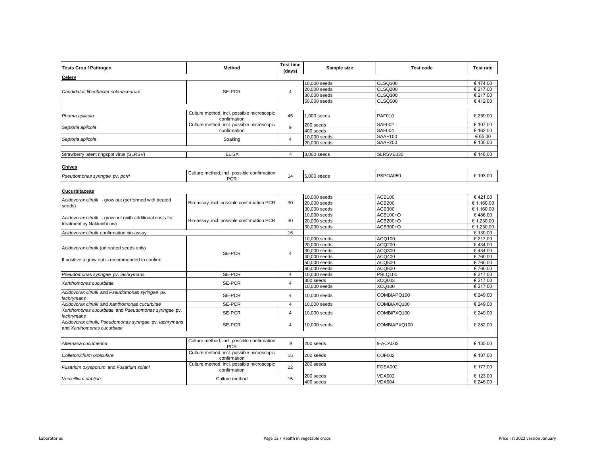| <b>Tests Crop / Pathogen</b>                                                           | Method                                                     | <b>Test time</b><br>(days) | Sample size  | <b>Test code</b> | <b>Test rate</b> |
|----------------------------------------------------------------------------------------|------------------------------------------------------------|----------------------------|--------------|------------------|------------------|
| Celery                                                                                 |                                                            |                            |              |                  |                  |
|                                                                                        |                                                            |                            | 10,000 seeds | CLSQ100          | € 174,00         |
| Candidatus liberibacter solanacearum                                                   | SE-PCR                                                     | $\overline{4}$             | 20,000 seeds | <b>CLSQ200</b>   | € 217.00         |
|                                                                                        |                                                            |                            | 30,000 seeds | <b>CLSQ300</b>   | € 217,00         |
|                                                                                        |                                                            |                            | 50,000 seeds | <b>CLSQ500</b>   | €412,00          |
|                                                                                        |                                                            |                            |              |                  |                  |
| Phoma apiicola                                                                         | Culture method, incl. possible microscopic<br>confirmation | 45                         | 1,000 seeds  | <b>PAF010</b>    | € 259,00         |
|                                                                                        | Culture method, incl. possible microscopic                 | 9                          | 200 seeds    | <b>SAF002</b>    | € 107,00         |
| Septoria apiicola                                                                      | confirmation                                               |                            | 400 seeds    | <b>SAF004</b>    | € 162.00         |
|                                                                                        |                                                            | $\overline{4}$             | 10,000 seeds | SAAF100          | € 65,00          |
| Septoria apiicola                                                                      | Soaking                                                    |                            | 20,000 seeds | <b>SAAF200</b>   | € 130.00         |
|                                                                                        |                                                            |                            |              |                  |                  |
| Strawberry latent ringspot virus (SLRSV)                                               | <b>ELISA</b>                                               | $\overline{4}$             | 3,000 seeds  | SLRSVE030        | € 146,00         |
|                                                                                        |                                                            |                            |              |                  |                  |
| <b>Chives</b>                                                                          |                                                            |                            |              |                  |                  |
| Pseudomonas syringae pv. porri                                                         | Culture method, incl. possible confirmation<br><b>PCR</b>  | 14                         | 5,000 seeds  | PSPOA050         | € 193,00         |
|                                                                                        |                                                            |                            |              |                  |                  |
| Cucurbitaceae                                                                          |                                                            |                            |              |                  |                  |
| Acidovorax citrulli - grow out (performed with treated                                 |                                                            | 30                         | 10,000 seeds | <b>ACB100</b>    | €421.00          |
| seeds)                                                                                 | Bio-assay, incl. possible confirmation PCR                 |                            | 20,000 seeds | <b>ACB200</b>    | € 1.160,00       |
|                                                                                        |                                                            |                            | 30,000 seeds | <b>ACB300</b>    | € 1.160.00       |
| Acidovorax citrulli - grow out (with additional costs for                              | Bio-assay, incl. possible confirmation PCR                 |                            | 10,000 seeds | ACB100+O         | €486,00          |
| treatment by Naktuinbouw)                                                              |                                                            | 30                         | 20,000 seeds | ACB200+O         | € 1.230,00       |
|                                                                                        |                                                            |                            | 30,000 seeds | ACB300+O         | € 1.230,00       |
| Acidovorax citrulli confirmation bio-assay                                             |                                                            | 16                         |              |                  | € 130,00         |
|                                                                                        |                                                            |                            | 10,000 seeds | ACQ100           | € 217,00         |
| Acidovorax citrulli (untreated seeds only)                                             |                                                            |                            | 20,000 seeds | <b>ACQ200</b>    | €434.00          |
|                                                                                        | <b>SE-PCR</b>                                              | $\overline{4}$             | 30,000 seeds | <b>ACQ300</b>    | €434,00          |
| If positive a grow out is recommended to confirm                                       |                                                            |                            | 40,000 seeds | <b>ACQ400</b>    | €760.00          |
|                                                                                        |                                                            |                            | 50,000 seeds | <b>ACQ500</b>    | €760,00          |
|                                                                                        |                                                            |                            | 60,000 seeds | ACQ600           | €760.00          |
| Pseudomonas syringae pv. lachrymans                                                    | <b>SE-PCR</b>                                              | $\overline{4}$             | 10,000 seeds | <b>PSLQ100</b>   | € 217.00         |
| Xanthomonas cucurbitae                                                                 | SE-PCR                                                     | $\overline{4}$             | 300 seeds    | XCQ003           | € 217,00         |
|                                                                                        |                                                            |                            | 10,000 seeds | <b>XCQ100</b>    | € 217,00         |
| Acidovorax citrulli and Pseudomonas syringae pv.<br>lachrymans                         | SE-PCR                                                     | $\overline{4}$             | 10,000 seeds | COMBIAPQ100      | € 249,00         |
| Acidovorax citrulli and Xanthomonas cucurbitae                                         | SE-PCR                                                     | $\overline{4}$             | 10,000 seeds | COMBIAXQ100      | € 249,00         |
| Xanthomonas cucurbitae and Pseudomonas syringae pv.<br>lachrymans                      | SE-PCR                                                     | $\overline{4}$             | 10,000 seeds | COMBIPXQ100      | € 249,00         |
| Acidovorax citrulli, Pseudomonas syringae pv. lachrymans<br>and Xanthomonas cucurbitae | <b>SE-PCR</b>                                              | $\overline{4}$             | 10,000 seeds | COMBIAPXQ100     | € 282,00         |
|                                                                                        |                                                            |                            |              |                  |                  |
| Alternaria cucumerina                                                                  | Culture method, incl. possible confirmation<br><b>PCR</b>  | 9                          | 200 seeds    | 9-ACA002         | € 135,00         |
| Colletotrichum orbiculare                                                              | Culture method, incl. possible microscopic<br>confirmation | 15                         | 200 seeds    | COF002           | € 107,00         |
| Fusarium oxysporum and Fusarium solani                                                 | Culture method, incl. possible microscopic<br>confirmation | 22                         | 200 seeds    | <b>FOSA002</b>   | € 177,00         |
|                                                                                        |                                                            |                            | 200 seeds    | <b>VDA002</b>    | € 123.00         |
| Verticillium dahliae                                                                   | Culture method                                             | 15                         | 400 seeds    | <b>VDA004</b>    | € 245,00         |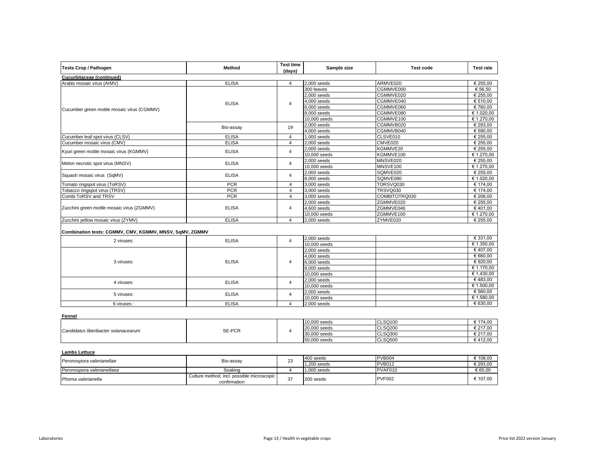| <b>Tests Crop / Pathogen</b>                            | Method       | <b>Test time</b><br>(days) | Sample size    | <b>Test code</b> | <b>Test rate</b> |
|---------------------------------------------------------|--------------|----------------------------|----------------|------------------|------------------|
| Cucurbitaceae (continued)                               |              |                            |                |                  |                  |
| Arabis mosaic virus (ArMV)                              | <b>ELISA</b> | $\overline{4}$             | 2,000 seeds    | ARMVE020         | € 255,00         |
|                                                         |              |                            | 300 leaves     | CGMMVE000        | € 56.50          |
|                                                         |              |                            | $2.000$ seeds  | CGMMVE020        | € 255,00         |
|                                                         | <b>ELISA</b> | $\overline{4}$             | $4.000$ seeds  | CGMMVE040        | € 510.00         |
| Cucumber green mottle mosaic virus (CGMMV)              |              |                            | $6,000$ seeds  | CGMMVE060        | €760,00          |
|                                                         |              |                            | 8,000 seeds    | CGMMVE080        | € 1.020,00       |
|                                                         |              |                            | 10,000 seeds   | CGMMVE100        | € 1.270,00       |
|                                                         | Bio-assay    | 19                         | 2,000 seeds    | CGMMVB020        | € 293,00         |
|                                                         |              |                            | 4,000 seeds    | CGMMVB040        | € 590,00         |
| Cucumber leaf spot virus (CLSV)                         | <b>ELISA</b> | $\overline{4}$             | 1,000 seeds    | CLSVE010         | € 255,00         |
| Cucumber mosaic virus (CMV)                             | <b>ELISA</b> | $\overline{4}$             | $2,000$ seeds  | CMVE020          | € 255,00         |
| Kyuri green mottle mosaic virus (KGMMV)                 | <b>ELISA</b> | $\overline{4}$             | 2,000 seeds    | KGMMVE20         | € 255,00         |
|                                                         |              |                            | 10,000 seeds   | KGMMVE100        | € 1.270,00       |
|                                                         |              | $\overline{4}$             | 2,000 seeds    | MNSVE020         | € 255,00         |
| Melon necrotic spot virus (MNSV)                        | <b>ELISA</b> |                            | 10,000 seeds   | MNSVE100         | € 1.270,00       |
|                                                         |              | $\overline{4}$             | 2,000 seeds    | SQMVE020         | € 255,00         |
| Squash mosaic virus (SqMV)                              | <b>ELISA</b> |                            | 8,000 seeds    | SQMVE080         | € 1.020,00       |
| Tomato ringspot virus (ToRSV)                           | <b>PCR</b>   | $\overline{4}$             | 3,000 seeds    | TORSVQ030        | € 174,00         |
| Tobacco ringspot virus (TRSV)                           | <b>PCR</b>   | $\overline{4}$             | 3,000 seeds    | TRSVQ030         | € 174,00         |
| Combi ToRSV and TRSV                                    | <b>PCR</b>   | $\overline{4}$             | 3,000 seeds    | COMBITOTRQ030    | € 206,00         |
|                                                         |              |                            | 2,000 seeds    | ZGMMVE020        | € 255,00         |
| Zucchini green mottle mosaic virus (ZGMMV)              | <b>ELISA</b> | $\overline{4}$             | 4.600 seeds    | ZGMMVE046        | €401,00          |
|                                                         |              |                            | 10,000 seeds   | ZGMMVE100        | € 1.270,00       |
| Zucchini yellow mosaic virus (ZYMV)                     | <b>ELISA</b> | $\overline{4}$             | 2,000 seeds    | ZYMVE020         | € 255,00         |
| Combination tests: CGMMV, CMV, KGMMV, MNSV, SqMV, ZGMMV |              |                            |                |                  |                  |
| 2 viruses:                                              | <b>ELISA</b> | $\overline{4}$             | 2,000 seeds    |                  | € 331,00         |
|                                                         |              |                            | 10,000 seeds   |                  | € 1.350,00       |
|                                                         |              |                            | $2,000$ seeds  |                  | €407,00          |
|                                                         |              |                            | $4,000$ seeds  |                  | € 660,00         |
| 3 viruses:                                              | <b>ELISA</b> | $\overline{4}$             | $6,000$ seeds  |                  | €920,00          |
|                                                         |              |                            | 8,000 seeds    |                  | € 1.170,00       |
|                                                         |              |                            | 10,000 seeds   |                  | € 1.430,00       |
| 4 viruses:                                              | <b>ELISA</b> | $\overline{4}$             | 2,000 seeds    |                  | €483,00          |
|                                                         |              |                            | 10,000 seeds   |                  | € 1.500,00       |
| 5 viruses:                                              | <b>ELISA</b> | $\overline{4}$             | $2,000$ seeds  |                  | € 560,00         |
|                                                         |              |                            | 10,000 seeds   |                  | € 1.580,00       |
| 6 viruses :                                             | <b>ELISA</b> | $\overline{4}$             | 2,000 seeds    |                  | € 630,00         |
| Fennel                                                  |              |                            |                |                  |                  |
|                                                         |              |                            | $10,000$ seeds | <b>CLSQ100</b>   | € 174,00         |
| Candidatus liberibacter solanacearum                    | SE-PCR       | $\overline{4}$             | 20,000 seeds   | <b>CLSQ200</b>   | € 217,00         |
|                                                         |              |                            | 30,000 seeds   | <b>CLSQ300</b>   | € 217,00         |
|                                                         |              |                            | 50,000 seeds   | <b>CLSQ500</b>   | €412,00          |
| <b>Lambs Lettuce</b>                                    |              |                            |                |                  |                  |
| Peronospora valerianellae                               | Bio-assay    | 23                         | 400 seeds      | <b>PVB004</b>    | € 108,00         |
|                                                         |              |                            | 1,200 seeds    | <b>PVB012</b>    | € 293,00         |

*Peronospora valerianellaea* Soaking 4 1,000 seeds PVAF010 € 65,00

**Phoma valerianella Phoma valerianella Culture method, incl. possible microscopic confirmation** 

 $\text{confirmation} \begin{bmatrix} 37 & 200 \text{ seeds} \end{bmatrix}$   $\text{PVF002}$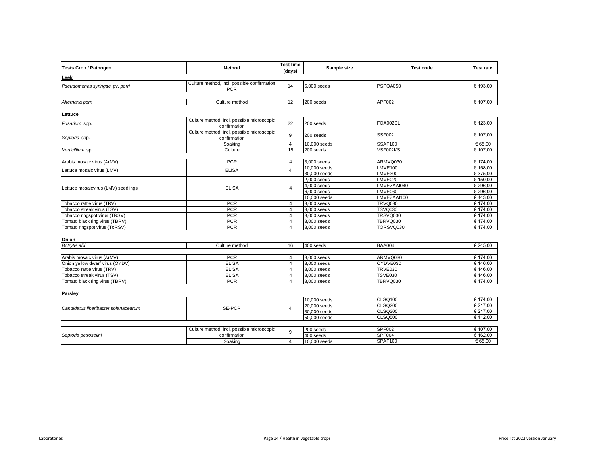| Method         | (days) | Sample size                                 | <b>Test code</b>                | <b>Test rate</b>   |
|----------------|--------|---------------------------------------------|---------------------------------|--------------------|
|                |        |                                             |                                 |                    |
| <b>PCR</b>     | 14     |                                             |                                 | € 193,00           |
|                |        |                                             |                                 |                    |
| Culture method |        | 200 seeds                                   |                                 | € 107,00           |
|                |        | Culture method, incl. possible confirmation | <b>Test time</b><br>5.000 seeds | PSPOA050<br>APF002 |

**Lettuce**

| Fusarium spp.                       | Culture method, incl. possible microscopic<br>confirmation | 22 | 200 seeds     | FOA002SL       | € 123.00 |
|-------------------------------------|------------------------------------------------------------|----|---------------|----------------|----------|
| Septoria spp.                       | Culture method, incl. possible microscopic<br>confirmation | 9  | 200 seeds     | <b>SSF002</b>  | € 107,00 |
|                                     | Soaking                                                    |    | 10,000 seeds  | SSAF100        | € 65,00  |
| Verticillium sp.                    | Culture                                                    | 15 | 200 seeds     | VSF002KS       | € 107,00 |
|                                     |                                                            |    |               |                |          |
| Arabis mosaic virus (ArMV)          | <b>PCR</b>                                                 | 4  | 3,000 seeds   | ARMVQ030       | € 174.00 |
| Lettuce mosaic virus (LMV)          | <b>ELISA</b>                                               |    | 10,000 seeds  | LMVE100        | € 158.00 |
|                                     |                                                            |    | 30,000 seeds  | <b>LMVE300</b> | € 375.00 |
|                                     |                                                            | 4  | $2,000$ seeds | LMVE020        | € 150.00 |
| Lettuce mosaicvirus (LMV) seedlings | <b>ELISA</b>                                               |    | 4,000 seeds   | LMVEZAAI040    | € 296.00 |
|                                     |                                                            |    | $6,000$ seeds | LMVE060        | € 296.00 |
|                                     |                                                            |    | 10,000 seeds  | LMVEZAAI100    | €443.00  |
| Tobacco rattle virus (TRV)          | <b>PCR</b>                                                 | 4  | 3,000 seeds   | <b>TRVQ030</b> | € 174.00 |
| Tobacco streak virus (TSV)          | <b>PCR</b>                                                 | 4  | 3,000 seeds   | TSVQ030        | € 174.00 |
| Tobacco ringspot virus (TRSV)       | <b>PCR</b>                                                 | 4  | 3,000 seeds   | TRSVQ030       | € 174.00 |
| Tomato black ring virus (TBRV)      | <b>PCR</b>                                                 | 4  | 3,000 seeds   | TBRVQ030       | € 174,00 |
| Tomato ringspot virus (ToRSV)       | <b>PCR</b>                                                 | 4  | 3,000 seeds   | TORSVQ030      | € 174,00 |

| Onion                                  |                |    |             |                |          |
|----------------------------------------|----------------|----|-------------|----------------|----------|
| Botrvtis allii                         | Culture method | 16 | 400 seeds   | <b>BAA004</b>  | € 245,00 |
|                                        |                |    |             |                |          |
| Arabis mosaic virus (ArMV)             | <b>PCR</b>     |    | 3,000 seeds | ARMVQ030       | £ 174,00 |
| <b>Onion vellow dwarf virus (OYDV)</b> | <b>ELISA</b>   |    | 3.000 seeds | OYDVE030       | € 146,00 |
| Tobacco rattle virus (TRV)             | <b>ELISA</b>   |    | 3.000 seeds | <b>TRVE030</b> | € 146,00 |
| Tobacco streak virus (TSV)             | <b>ELISA</b>   |    | 3.000 seeds | <b>TSVE030</b> | \$146,00 |
| Tomato black ring virus (TBRV)         | <b>PCR</b>     |    | 3,000 seeds | TBRVQ030       | € 174.00 |

**Parsley**

| .                                    |                                            |  |              |         |          |
|--------------------------------------|--------------------------------------------|--|--------------|---------|----------|
| Candidatus liberibacter solanacearum |                                            |  | 10,000 seeds | CLSQ100 | € 174,00 |
|                                      | SE-PCR                                     |  | 20,000 seeds | CLSQ200 | € 217,00 |
|                                      |                                            |  | 30,000 seeds | CLSQ300 | € 217,00 |
|                                      |                                            |  | 50,000 seeds | CLSQ500 | €412,00  |
|                                      |                                            |  |              |         |          |
| Septoria petroselini                 | Culture method, incl. possible microscopic |  | 200 seeds    | SPF002  | € 107,00 |
|                                      | confirmation                               |  | 400 seeds    | SPF004  | € 162,00 |
|                                      | Soaking                                    |  | 10,000 seeds | SPAF100 | € 65,00  |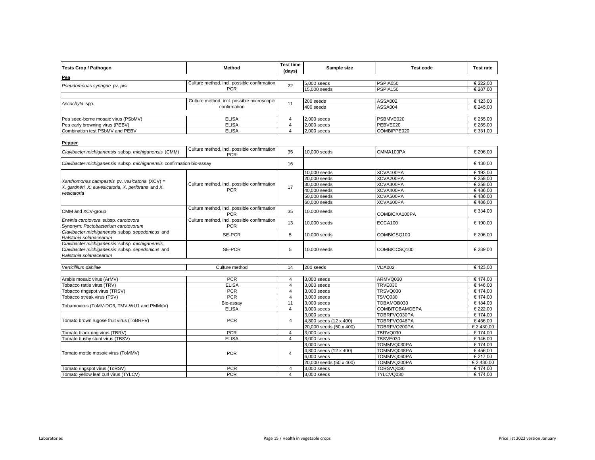| <b>Tests Crop / Pathogen</b>        | Method                                      | <b>Test time</b><br>(days) | Sample size  | <b>Test code</b> | <b>Test rate</b> |
|-------------------------------------|---------------------------------------------|----------------------------|--------------|------------------|------------------|
| Pea                                 |                                             |                            |              |                  |                  |
| Pseudomonas syringae pv. pisi       | Culture method, incl. possible confirmation | 22                         | 5,000 seeds  | PSPIA050         | € 222,00         |
|                                     | <b>PCR</b>                                  |                            | 15,000 seeds | PSPIA150         | € 287,00         |
|                                     |                                             |                            |              |                  |                  |
|                                     | Culture method, incl. possible microscopic  | 11                         | 200 seeds    | ASSA002          | € 123,00         |
| Ascochyta spp.                      | confirmation                                |                            | 400 seeds    | ASSA004          | € 245,00         |
|                                     |                                             |                            |              |                  |                  |
| Pea seed-borne mosaic virus (PSbMV) | <b>ELISA</b>                                |                            | 2,000 seeds  | PSBMVE020        | € 255,00         |
| Pea early browning virus (PEBV)     | <b>ELISA</b>                                |                            | 2,000 seeds  | PEBVE020         | € 255,00         |
| Combination test PSbMV and PEBV     | <b>ELISA</b>                                |                            | 2,000 seeds  | COMBIPPE020      | € 331,00         |

| Pepper                                                                                                                        |                                                           |                |                         |                       |            |
|-------------------------------------------------------------------------------------------------------------------------------|-----------------------------------------------------------|----------------|-------------------------|-----------------------|------------|
| Clavibacter michiganensis subsp. michiganensis (CMM)                                                                          | Culture method, incl. possible confirmation<br><b>PCR</b> | 35             | 10,000 seeds            | CMMA100PA             | € 206,00   |
| Clavibacter michiganensis subsp. michiganensis confirmation bio-assay                                                         |                                                           | 16             |                         |                       | € 130,00   |
|                                                                                                                               |                                                           |                | 10,000 seeds            | XCVA100PA             | € 193.00   |
|                                                                                                                               |                                                           |                | 20,000 seeds            | XCVA200PA             | € 258,00   |
| Xanthomonas campestris pv. vesicatoria (XCV) =                                                                                | Culture method, incl. possible confirmation               | 17             | 30,000 seeds            | XCVA300PA             | € 258.00   |
| X. gardneri, X. euvesicatoria, X. perforans and X.<br>vesicatoria                                                             | <b>PCR</b>                                                |                | 40,000 seeds            | XCVA400PA             | €486.00    |
|                                                                                                                               |                                                           |                | 50,000 seeds            | XCVA500PA             | €486.00    |
|                                                                                                                               |                                                           |                | 60,000 seeds            | XCVA600PA             | €486,00    |
| CMM and XCV-group                                                                                                             | Culture method, incl. possible confirmation<br><b>PCR</b> | 35             | 10,000 seeds            | COMBICXA100PA         | € 334,00   |
| Erwinia carotovora subsp. carotovora<br>Synonym: Pectobacterium carotovorum                                                   | Culture method, incl. possible confirmation<br><b>PCR</b> | 13             | 10,000 seeds            | ECCA100               | € 190.00   |
| Clavibacter michiganensis subsp. sepedonicus and<br>Ralstonia solanacearum                                                    | SE-PCR                                                    | 5              | 10,000 seeds            | COMBICSQ100           | € 206,00   |
| Clavibacter michiganensis subsp. michiganensis,<br>Clavibacter michiganensis subsp. sepedonicus and<br>Ralstonia solanacearum | SE-PCR                                                    | 5              | 10,000 seeds            | COMBICCSQ100          | € 239,00   |
| Verticillium dahliae                                                                                                          | Culture method                                            | 14             | 200 seeds               | <b>VDA002</b>         | € 123,00   |
|                                                                                                                               |                                                           |                |                         |                       |            |
| Arabis mosaic virus (ArMV)                                                                                                    | <b>PCR</b>                                                | $\overline{4}$ | 3,000 seeds             | ARMVQ030              | € 174,00   |
| Tobacco rattle virus (TRV)                                                                                                    | <b>ELISA</b>                                              | $\overline{4}$ | 3,000 seeds             | TRVE030               | € 146,00   |
| Tobacco ringspot virus (TRSV)                                                                                                 | <b>PCR</b>                                                | $\overline{4}$ | 3,000 seeds             | <b>TRSVQ030</b>       | € 174,00   |
| Tobacco streak virus (TSV)                                                                                                    | <b>PCR</b>                                                | $\overline{4}$ | 3,000 seeds             | <b>TSVQ030</b>        | € 174,00   |
| Tobamovirus (ToMV-DO3, TMV-WU1 and PMMoV)                                                                                     | Bio-assay                                                 | 11             | 3.000 seeds             | TOBAMOB030            | € 184.00   |
|                                                                                                                               | <b>ELISA</b>                                              | $\overline{4}$ | 3.000 seeds             | <b>COMBITOBAMOEPA</b> | € 222.00   |
|                                                                                                                               |                                                           |                | 3,000 seeds             | TOBRFVQ030PA          | € 174,00   |
| Tomato brown rugose fruit virus (ToBRFV)                                                                                      | <b>PCR</b>                                                | $\overline{4}$ | 4,800 seeds (12 x 400)  | TOBRFVQ048PA          | €456,00    |
|                                                                                                                               |                                                           |                | 20,000 seeds (50 x 400) | TOBRFVQ200PA          | € 2.430,00 |
| Tomato black ring virus (TBRV)                                                                                                | <b>PCR</b>                                                | $\overline{4}$ | 3,000 seeds             | TBRVQ030              | € 174,00   |
| Tomato bushy stunt virus (TBSV)                                                                                               | <b>ELISA</b>                                              | $\overline{4}$ | 3,000 seeds             | TBSVE030              | € 146,00   |
|                                                                                                                               |                                                           |                | 3.000 seeds             | TOMMVQ030PA           | € 174,00   |
| Tomato mottle mosaic virus (ToMMV)                                                                                            | <b>PCR</b>                                                | $\overline{4}$ | 4,800 seeds (12 x 400)  | TOMMVQ048PA           | €456.00    |
|                                                                                                                               |                                                           |                | $6.000$ seeds           | TOMMVQ060PA           | € 217.00   |
|                                                                                                                               |                                                           |                | 20,000 seeds (50 x 400) | TOMMVQ200PA           | € 2.430,00 |
| Tomato ringspot virus (ToRSV)                                                                                                 | <b>PCR</b>                                                | 4              | 3,000 seeds             | TORSVQ030             | € 174,00   |
| Tomato vellow leaf curl virus (TYLCV)                                                                                         | <b>PCR</b>                                                | 4              | 3.000 seeds             | TYLCVQ030             | € 174,00   |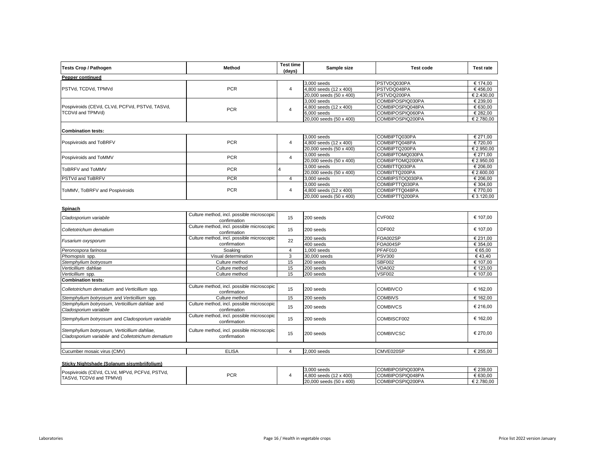| <b>Tests Crop / Pathogen</b>                                                                       | Method                                                     | <b>Test time</b><br>(days) | Sample size             | <b>Test code</b> | <b>Test rate</b> |
|----------------------------------------------------------------------------------------------------|------------------------------------------------------------|----------------------------|-------------------------|------------------|------------------|
| Pepper continued                                                                                   |                                                            |                            |                         |                  |                  |
|                                                                                                    |                                                            |                            | 3,000 seeds             | PSTVDQ030PA      | € 174,00         |
| PSTVd, TCDVd, TPMVd                                                                                | <b>PCR</b>                                                 | 4                          | 4.800 seeds (12 x 400)  | PSTVDQ048PA      | €456.00          |
|                                                                                                    |                                                            |                            | 20,000 seeds (50 x 400) | PSTVDQ200PA      | € 2.430,00       |
|                                                                                                    |                                                            |                            | 3,000 seeds             | COMBIPOSPIQ030PA | € 239,00         |
| Pospiviroids (CEVd, CLVd, PCFVd, PSTVd, TASVd,                                                     | <b>PCR</b>                                                 | $\overline{4}$             | 4,800 seeds (12 x 400)  | COMBIPOSPIQ048PA | € 630,00         |
| TCDVd and TPMVd)                                                                                   |                                                            |                            | $6,000$ seeds           | COMBIPOSPIQ060PA | € 282,00         |
|                                                                                                    |                                                            |                            | 20,000 seeds (50 x 400) | COMBIPOSPIQ200PA | € 2.780,00       |
| <b>Combination tests:</b>                                                                          |                                                            |                            |                         |                  |                  |
|                                                                                                    |                                                            |                            | 3,000 seeds             | COMBIPTQ030PA    | € 271,00         |
| Pospiviroids and ToBRFV                                                                            | <b>PCR</b>                                                 | 4                          | 4,800 seeds (12 x 400)  | COMBIPTQ048PA    | €720,00          |
|                                                                                                    |                                                            |                            | 20,000 seeds (50 x 400) | COMBIPTQ200PA    | € 2.950,00       |
|                                                                                                    |                                                            |                            | 3,000 seeds             | COMBIPTOMQ030PA  | € 271,00         |
| Pospiviroids and ToMMV                                                                             | <b>PCR</b>                                                 | $\overline{4}$             | 20,000 seeds (50 x 400) | COMBIPTOMQ200PA  | € 2.950,00       |
|                                                                                                    |                                                            |                            | 3,000 seeds             | COMBITTQ030PA    | € 206,00         |
| ToBRFV and ToMMV                                                                                   | <b>PCR</b>                                                 | $\overline{\mathbf{A}}$    | 20,000 seeds (50 x 400) | COMBITTQ200PA    | € 2.600,00       |
| PSTVd and ToBRFV                                                                                   | <b>PCR</b>                                                 | $\overline{4}$             | 3,000 seeds             | COMBIPSTOQ030PA  | € 206,00         |
|                                                                                                    |                                                            |                            | 3,000 seeds             | COMBIPTTQ030PA   | € 304,00         |
| ToMMV, ToBRFV and Pospiviroids                                                                     | <b>PCR</b>                                                 | $\overline{4}$             | 4,800 seeds (12 x 400)  | COMBIPTTQ048PA   | €770.00          |
|                                                                                                    |                                                            |                            | 20,000 seeds (50 x 400) | COMBIPTTQ200PA   | € 3.120,00       |
|                                                                                                    |                                                            |                            |                         |                  |                  |
| Spinach                                                                                            |                                                            |                            |                         |                  |                  |
| Cladosporium variabile                                                                             | Culture method, incl. possible microscopic<br>confirmation | 15                         | 200 seeds               | <b>CVF002</b>    | € 107,00         |
| Colletotrichum dematium                                                                            | Culture method, incl. possible microscopic<br>confirmation | 15                         | 200 seeds               | CDF002           | € 107,00         |
|                                                                                                    | Culture method, incl. possible microscopic                 | 22                         | 200 seeds               | FOA002SP         | € 231.00         |
| Fusarium oxysporum                                                                                 | confirmation                                               |                            | 400 seeds               | FOA004SP         | € 354.00         |
| Peronospora farinosa                                                                               | Soaking                                                    | $\overline{4}$             | 1,000 seeds             | PFAF010          | € 65,00          |
| Phomopsis spp.                                                                                     | Visual determination                                       | 3                          | 30,000 seeds            | <b>PSV300</b>    | €43,40           |
| Stemphylium botryosum                                                                              | Culture method                                             | 15                         | 200 seeds               | <b>SBF002</b>    | € 107.00         |
| Verticillium dahliae                                                                               | Culture method                                             | 15                         | 200 seeds               | <b>VDA002</b>    | € 123,00         |
| Verticillium spp.                                                                                  | Culture method                                             | 15                         | 200 seeds               | <b>VSF002</b>    | € 107,00         |
| <b>Combination tests:</b>                                                                          |                                                            |                            |                         |                  |                  |
| Colletotrichum dematium and Verticillium spp.                                                      | Culture method, incl. possible microscopic<br>confirmation | 15                         | 200 seeds               | <b>COMBIVCO</b>  | € 162,00         |
| Stemphylium botryosum and Verticillium spp.                                                        | Culture method                                             | 15                         | 200 seeds               | <b>COMBIVS</b>   | € 162,00         |
| Stemphylium botryosum, Verticillium dahliae and                                                    | Culture method, incl. possible microscopic                 |                            |                         |                  |                  |
| Cladosporium variabile                                                                             | confirmation                                               | 15                         | 200 seeds               | <b>COMBIVCS</b>  | € 216,00         |
| Stemphylium botryosum and Cladosporium variabile                                                   | Culture method, incl. possible microscopic<br>confirmation | 15                         | 200 seeds               | COMBISCF002      | € 162,00         |
| Stemphylium botryosum, Verticillium dahliae,<br>Cladosporium variabile and Colletotrichum dematium | Culture method, incl. possible microscopic<br>confirmation | 15                         | 200 seeds               | <b>COMBIVCSC</b> | € 270,00         |
|                                                                                                    |                                                            |                            |                         |                  |                  |
| Cucumber mosaic virus (CMV)                                                                        | <b>ELISA</b>                                               | $\overline{4}$             | 2,000 seeds             | CMVE020SP        | € 255,00         |
| Sticky Nightshade (Solanum sisymbriifolium)                                                        |                                                            |                            |                         |                  |                  |
| Serie (OF)/4 OL)/4 MOV/4 DOF)/4 DOT)/4                                                             |                                                            |                            | 3,000 seeds             | COMBIPOSPIQ030PA | € 239,00         |

| Pospiviroids (CEVd, CLVd, MPVd, PCFVd, PSTVd,<br>TASVd.<br>TCDVd and TPMVd) | <b>DOD</b><br>ר טר |  | 3,000 seeds             | COMBIPOSPIQ030PA | E 239,00   |
|-----------------------------------------------------------------------------|--------------------|--|-------------------------|------------------|------------|
|                                                                             |                    |  | 4,800 seeds (12 x 400)  | COMBIPOSPIQ048PA | € 630,00   |
|                                                                             |                    |  | 20,000 seeds (50 x 400) | COMBIPOSPIQ200PA | € 2.780.00 |

H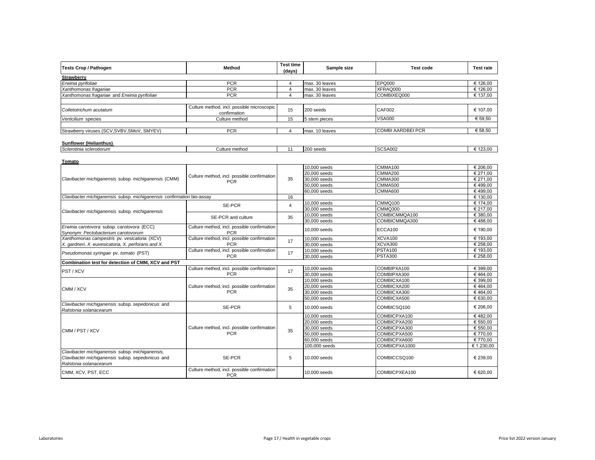| <b>Tests Crop / Pathogen</b>                                                                                                  | Method                                                    | <b>Test time</b><br>(days) | Sample size    | <b>Test code</b>         | <b>Test rate</b> |
|-------------------------------------------------------------------------------------------------------------------------------|-----------------------------------------------------------|----------------------------|----------------|--------------------------|------------------|
| <b>Strawberry</b>                                                                                                             |                                                           |                            |                |                          |                  |
| Erwinia pyrifoliae                                                                                                            | <b>PCR</b>                                                | $\overline{4}$             | max. 30 leaves | <b>EPQ000</b>            | € 126.00         |
| Xanthomonas fragariae                                                                                                         | <b>PCR</b>                                                | $\overline{4}$             | max. 30 leaves | XFRAQ000                 | € 126,00         |
| Xanthomonas fragariae and Erwinia pyrifoliae                                                                                  | <b>PCR</b>                                                | $\overline{4}$             | max. 30 leaves | COMBIXEQ000              | € 137,00         |
| Colletotrichum acutatum                                                                                                       | Culture method, incl. possible microscopic                | 15                         | 200 seeds      | CAF002                   | € 107,00         |
|                                                                                                                               | confirmation                                              |                            |                |                          |                  |
| Verticilium species                                                                                                           | Culture method                                            | 15                         | 5 stem pieces  | <b>VSA000</b>            | € 59,50          |
| Strawberry viruses (SCV, SVBV, SMoV, SMYEV)                                                                                   | <b>PCR</b>                                                | $\overline{4}$             | max. 10 leaves | <b>COMBI AARDBEI PCR</b> | € 58,50          |
| Sunflower (Helianthus)                                                                                                        |                                                           |                            |                |                          |                  |
| Sclerotinia sclerotiorum                                                                                                      | Culture method                                            | 11                         | 200 seeds      | <b>SCSA002</b>           | € 123.00         |
|                                                                                                                               |                                                           |                            |                |                          |                  |
| Tomato                                                                                                                        |                                                           |                            | 10,000 seeds   | CMMA100                  | € 206,00         |
|                                                                                                                               |                                                           |                            | 20,000 seeds   | <b>CMMA200</b>           | € 271.00         |
| Clavibacter michiganensis subsp. michiganensis (CMM)                                                                          | Culture method, incl. possible confirmation               | 35                         | 30,000 seeds   | <b>CMMA300</b>           | € 271,00         |
|                                                                                                                               | <b>PCR</b>                                                |                            | 50,000 seeds   | CMMA500                  | €499,00          |
|                                                                                                                               |                                                           |                            | 60,000 seeds   | <b>CMMA600</b>           | €499,00          |
| Clavibacter michiganensis subsp. michiganensis confirmation bio-assay                                                         |                                                           | 16                         |                |                          | € 130,00         |
|                                                                                                                               |                                                           |                            | 10,000 seeds   | CMMQ100                  | € 174.00         |
|                                                                                                                               | SE-PCR                                                    | $\overline{4}$             | 30,000 seeds   | <b>CMMQ300</b>           | € 217,00         |
| Clavibacter michiganensis subsp. michiganensis                                                                                | SE-PCR and culture                                        |                            | 10,000 seeds   | COMBICMMQA100            | € 380,00         |
|                                                                                                                               |                                                           | 35                         | 30,000 seeds   | COMBICMMQA300            | €488,00          |
| Erwinia carotovora subsp. carotovora (ECC)                                                                                    | Culture method, incl. possible confirmation               |                            | 10,000 seeds   | ECCA100                  | € 190,00         |
| Synonym: Pectobacterium carotovorum                                                                                           | <b>PCR</b>                                                |                            |                |                          |                  |
| Xanthomonas campestris pv. vesicatoria (XCV)                                                                                  | Culture method, incl. possible confirmation               | 17                         | 10,000 seeds   | <b>XCVA100</b>           | € 193,00         |
| X. gardneri, X. euvesicatoria, X. perforans and X.                                                                            | <b>PCR</b>                                                |                            | 30,000 seeds   | XCVA300                  | € 258,00         |
| Pseudomonas syringae pv. tomato (PST)                                                                                         | Culture method, incl. possible confirmation               | 17                         | 10,000 seeds   | <b>PSTA100</b>           | € 193,00         |
|                                                                                                                               | <b>PCR</b>                                                |                            | 30,000 seeds   | <b>PSTA300</b>           | € 258,00         |
| Combination test for detection of CMM, XCV and PST                                                                            |                                                           |                            |                |                          |                  |
| PST/XCV                                                                                                                       | Culture method, incl. possible confirmation               | 17                         | 10,000 seeds   | COMBIPXA100              | € 399,00         |
|                                                                                                                               | <b>PCR</b>                                                |                            | 30,000 seeds   | COMBIPXA300              | €464.00          |
|                                                                                                                               |                                                           |                            | $10,000$ seeds | COMBICXA100              | € 399.00         |
| CMM / XCV                                                                                                                     | Culture method, incl. possible confirmation               | 35                         | 20,000 seeds   | COMBICXA200              | €464,00          |
|                                                                                                                               | <b>PCR</b>                                                |                            | 30,000 seeds   | COMBICXA300              | €464,00          |
|                                                                                                                               |                                                           |                            | 50,000 seeds   | COMBICXA500              | € 630,00         |
| Clavibacter michiganensis subsp. sepedonicus and<br>Ralstonia solanacearum                                                    | SE-PCR                                                    | 5                          | 10.000 seeds   | COMBICSQ100              | € 206,00         |
|                                                                                                                               |                                                           |                            | 10,000 seeds   | COMBICPXA100             | €482,00          |
|                                                                                                                               |                                                           |                            | 20,000 seeds   | COMBICPXA200             | € 550,00         |
|                                                                                                                               | Culture method, incl. possible confirmation               |                            | 30,000 seeds   | COMBICPXA300             | € 550.00         |
| CMM / PST / XCV                                                                                                               | <b>PCR</b>                                                | 35                         | 50,000 seeds   | COMBICPXA500             | € 770.00         |
|                                                                                                                               |                                                           |                            | 60,000 seeds   | COMBICPXA600             | € 770,00         |
|                                                                                                                               |                                                           |                            | 100,000 seeds  | COMBICPXA1000            | € 1.230,00       |
| Clavibacter michiganensis subsp. michiganensis,<br>Clavibacter michiganensis subsp. sepedonicus and<br>Ralstonia solanacearum | <b>SE-PCR</b>                                             | 5                          | 10,000 seeds   | COMBICCSQ100             | € 239.00         |
| CMM, XCV, PST, ECC                                                                                                            | Culture method, incl. possible confirmation<br><b>PCR</b> |                            | 10.000 seeds   | COMBICPXEA100            | € 620,00         |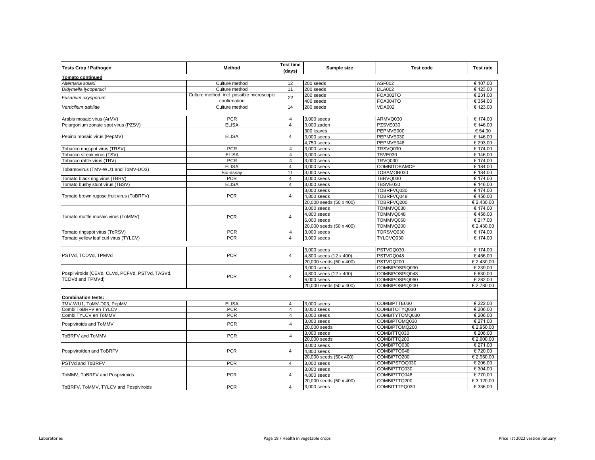| <b>Tests Crop / Pathogen</b>                          | Method                                     | <b>Test time</b><br>(days) | Sample size             | <b>Test code</b>    | <b>Test rate</b> |
|-------------------------------------------------------|--------------------------------------------|----------------------------|-------------------------|---------------------|------------------|
| <b>Tomato continued</b>                               |                                            |                            |                         |                     |                  |
| Alternaria solani                                     | Culture method                             | 12                         | 200 seeds               | <b>ASF002</b>       | € 107.00         |
| Didymella lycopersici                                 | Culture method                             | 11                         | 200 seeds               | <b>DLA002</b>       | € 123,00         |
| Fusarium oxysporum                                    | Culture method, incl. possible microscopic | 22                         | 200 seeds               | <b>FOA002TO</b>     | € 231,00         |
|                                                       | confirmation                               |                            | 400 seeds               | <b>FOA004TO</b>     | € 354,00         |
| Verticilium dahliae                                   | Culture method                             | 14                         | 200 seeds               | <b>VDA002</b>       | € 123,00         |
| Arabis mosaic virus (ArMV)                            | <b>PCR</b>                                 | 4                          | 3,000 seeds             | ARMVQ030            | € 174,00         |
| Pelargonium zonate spot virus (PZSV)                  | <b>ELISA</b>                               | $\overline{4}$             | 3.000 zaden             | PZSVE030            | € 146,00         |
|                                                       |                                            |                            | 300 leaves              | PEPMVE000           | € 54,00          |
| Pepino mosaic virus (PepMV)                           | <b>ELISA</b>                               | $\overline{4}$             | 3,000 seeds             | PEPMVE030           | € 146,00         |
|                                                       |                                            |                            | 4,750 seeds             | PEPMVE048           | € 293,00         |
| Tobacco ringspot virus (TRSV)                         | <b>PCR</b>                                 | $\overline{4}$             | 3,000 seeds             | TRSVQ030            | € 174,00         |
| Tobacco streak virus (TSV)                            | <b>ELISA</b>                               | $\overline{4}$             | 3,000 seeds             | <b>TSVE030</b>      | € 146,00         |
| Tobacco rattle virus (TRV)                            | <b>PCR</b>                                 | $\overline{4}$             | 3,000 seeds             | <b>TRVQ030</b>      | € 174,00         |
|                                                       | <b>ELISA</b>                               | $\overline{4}$             | 3,000 seeds             | <b>COMBITOBAMOE</b> | € 184,00         |
| Tobamovirus (TMV-WU1 and ToMV-DO3)                    | Bio-assay                                  | 11                         | 3,000 seeds             | TOBAMOB030          | € 184.00         |
| Tomato black ring virus (TBRV)                        | <b>PCR</b>                                 | $\overline{4}$             | 3,000 seeds             | TBRVQ030            | € 174,00         |
| Tomato bushy stunt virus (TBSV)                       | <b>ELISA</b>                               | $\overline{4}$             | 3.000 seeds             | TBSVE030            | € 146.00         |
|                                                       |                                            |                            | 3,000 seeds             | TOBRFVQ030          | € 174,00         |
| Tomato brown rugose fruit virus (ToBRFV)              | <b>PCR</b>                                 | $\overline{4}$             | 4,800 seeds             | TOBRFVQ048          | €456,00          |
|                                                       |                                            |                            | 20,000 seeds (50 x 400) | TOBRFVQ200          | € 2.430,00       |
|                                                       |                                            |                            | 3,000 seeds             | TOMMVQ030           | € 174,00         |
|                                                       |                                            |                            | 4,800 seeds             | TOMMVQ048           | €456,00          |
| Tomato mottle mosaic virus (ToMMV)                    | <b>PCR</b>                                 | $\overline{4}$             | $6,000$ seeds           | TOMMVQ060           | € 217,00         |
|                                                       |                                            |                            | 20,000 seeds (50 x 400) | TOMMVQ200           | € 2.430,00       |
| Tomato ringspot virus (ToRSV)                         | <b>PCR</b>                                 | $\overline{4}$             | 3,000 seeds             | TORSVQ030           | € 174,00         |
| Tomato yellow leaf curl virus (TYLCV)                 | <b>PCR</b>                                 | $\overline{4}$             | 3,000 seeds             | TYLCVQ030           | € 174,00         |
|                                                       |                                            |                            |                         |                     |                  |
|                                                       |                                            |                            | 3.000 seeds             | PSTVDQ030           | € 174,00         |
| PSTVd, TCDVd, TPMVd                                   | <b>PCR</b>                                 | $\overline{4}$             | 4,800 seeds (12 x 400)  | PSTVDQ048           | €456,00          |
|                                                       |                                            |                            | 20,000 seeds (50 x 400) | PSTVDQ200           | € 2.430.00       |
|                                                       |                                            |                            | 3,000 seeds             | COMBIPOSPIQ030      | € 239,00         |
| Pospi viroids (CEVd, CLVd, PCFVd, PSTVd, TASVd,       | <b>PCR</b>                                 | $\overline{4}$             | 4,800 seeds (12 x 400)  | COMBIPOSPIQ048      | € 630.00         |
| TCDVd and TPMVd)                                      |                                            |                            | $6,000$ seeds           | COMBIPOSPIQ060      | € 282,00         |
|                                                       |                                            |                            | 20,000 seeds (50 x 400) | COMBIPOSPIQ200      | € 2.780,00       |
|                                                       |                                            |                            |                         |                     |                  |
| <b>Combination tests:</b><br>TMV-WU1, ToMV-D03, PepMV | <b>ELISA</b>                               | $\overline{4}$             | $3,000$ seeds           | COMBIPTTE030        | € 222,00         |
| Combi ToBRFV en TYLCV                                 | <b>PCR</b>                                 | $\overline{4}$             | 3,000 seeds             | COMBITOTYQ030       | € 206,00         |
| Combi TYLCV en ToMMV                                  | <b>PCR</b>                                 | $\overline{4}$             | 3,000 seeds             | COMBITYTOMQ030      | € 206,00         |
|                                                       |                                            |                            | 3,000 seeds             | COMBIPTOMQ030       | € 271,00         |
| Pospiviroids and ToMMV                                | <b>PCR</b>                                 | $\overline{4}$             | 20,000 seeds            | COMBIPTOMQ200       | € 2.950,00       |
|                                                       |                                            |                            | 3,000 seeds             | COMBITTQ030         | € 206,00         |
| ToBRFV and ToMMV                                      | <b>PCR</b>                                 | $\overline{4}$             | 20,000 seeds            | COMBITTQ200         | € 2.600,00       |
|                                                       |                                            |                            | 3,000 seeds             | COMBIPTQ030         | € 271,00         |
| Pospiviroïden and ToBRFV                              | <b>PCR</b>                                 | $\overline{4}$             | 4,800 seeds             | COMBIPTQ048         | € 720,00         |
|                                                       |                                            |                            | 20,000 seeds (50x 400)  | COMBIPTQ200         | € 2.950,00       |
| PSTVd and ToBRFV                                      | <b>PCR</b>                                 | 4                          | $3,000$ seeds           | COMBIPSTOQ030       | € 206.00         |
|                                                       |                                            |                            | 3,000 seeds             | COMBIPTTQ030        | € 304,00         |
| ToMMV, ToBRFV and Pospiviroids                        | <b>PCR</b>                                 | 4                          | 4.800 seeds             | COMBIPTTQ048        | €770.00          |
|                                                       |                                            |                            | 20,000 seeds (50 x 400) | COMBIPTTQ200        | € 3.120,00       |
| ToBRFV, ToMMV, TYLCV and Pospiviroids                 | <b>PCR</b>                                 | $\overline{4}$             | 3,000 seeds             | COMBITTTPQ030       | € 336,00         |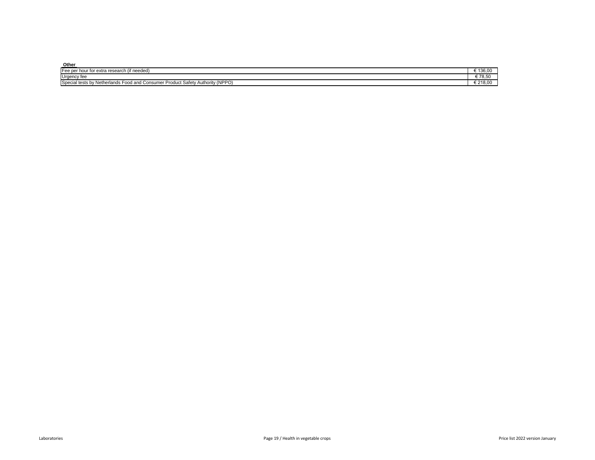| Other                                                                                                                          |          |
|--------------------------------------------------------------------------------------------------------------------------------|----------|
| Fee per hour for extra<br>a research<br>` (if needea,                                                                          | 130.U    |
| Urgency fee                                                                                                                    | 70.00    |
| <b>Civ Authority (NPPC)</b><br><b>Spacia</b><br>া tests by Netherlands Food and Consumer<br>r Product Safetv<br><b>Special</b> | 5 Z 10.U |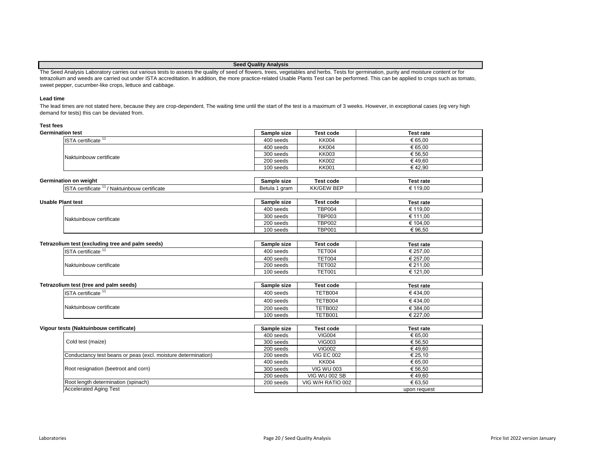# **Seed Quality Analysis**

The Seed Analysis Laboratory carries out various tests to assess the quality of seed of flowers, trees, vegetables and herbs. Tests for germination, purity and moisture content or for tetrazolium and weeds are carried out under ISTA accreditation. In addition, the more practice-related Usable Plants Test can be performed. This can be applied to crops such as tomato, sweet pepper, cucumber-like crops, lettuce and cabbage.

# **Lead time**

The lead times are not stated here, because they are crop-dependent. The waiting time until the start of the test is a maximum of 3 weeks. However, in exceptional cases (eg very high demand for tests) this can be deviated from.

# **Test fees Germ**

| ination test                   | Sample size | <b>Test code</b> | <b>Test rate</b> |
|--------------------------------|-------------|------------------|------------------|
| ISTA certificate <sup>11</sup> | 400 seeds   | <b>KK004</b>     | € 65.00          |
|                                | 400 seeds   | <b>KK004</b>     | € 65.00          |
| Naktuinbouw certificate        | 300 seeds   | <b>KK003</b>     | € 56.50          |
|                                | 200 seeds   | <b>KK002</b>     | €49.60           |
|                                | 100 seeds   | <b>KK001</b>     | €42.90           |

| Germination on weight                                                        | Sample<br>. size | Test code                     | Test rate |
|------------------------------------------------------------------------------|------------------|-------------------------------|-----------|
| $\cdots$<br>lis1<br>Naktuinbouw<br><sup>*</sup> certificate<br>∖ certificate | gram<br>Betula   | $- - -$<br>KK/GF <sup>V</sup> | 119.00    |

| <b>Usable Plant test</b> |                         | Sample size | <b>Test code</b> | <b>Test rate</b> |
|--------------------------|-------------------------|-------------|------------------|------------------|
|                          |                         | 400 seeds   | TBP004           | € 119.00         |
|                          | Naktuinbouw certificate | 300 seeds   | <b>TBP003</b>    | € 111.00         |
|                          |                         | 200 seeds   | <b>TBP002</b>    | € 104.00         |
|                          |                         | 100 seeds   | <b>TBP001</b>    | €96.50           |

| Tetrazolium test (excluding tree and palm seeds) | Sample size | Test code     | Test rate |
|--------------------------------------------------|-------------|---------------|-----------|
| ISTA certificate <sup>1</sup>                    | 400 seeds   | <b>TET004</b> | € 257.00  |
|                                                  | 400 seeds   | TET004        | € 257.00  |
| Naktuinbouw certificate                          | 200 seeds   | <b>TET002</b> | € 211.00  |
|                                                  | 100 seeds   | <b>TET001</b> | € 121.00  |

| Tetrazolium test<br>t (tree and palm seeds)     | size<br>Sample                                           | -<br>Test code | rate<br>Гле<br>.               |
|-------------------------------------------------|----------------------------------------------------------|----------------|--------------------------------|
| $-0.000$<br>certificate ،<br>$\sqrt{ }$<br>. טו | $\Lambda$ $\Lambda$ $\Gamma$<br>, cooyc<br>.<br>, seeus, | TFTB004        | 00،<br>$\sqrt{2}$<br>14<br>. . |

| lium test (tree and palm seeds)             | Sample size | <b>Test code</b> | Test rate |
|---------------------------------------------|-------------|------------------|-----------|
| $\blacksquare$ ISTA certificate $\smash{1}$ | 400 seeds   | TETB004          | €434.00   |
|                                             | 400 seeds   | TETB004          | €434.00   |
| Naktuinbouw certificate                     | 200 seeds   | TETB002          | € 384.00  |
|                                             | 100 seeds   | TETB001          | € 227.00  |

| Vigour tests (Naktuinbouw certificate)                        | Sample size | Test code            | <b>Test rate</b> |
|---------------------------------------------------------------|-------------|----------------------|------------------|
|                                                               | 400 seeds   | <b>VIG004</b>        | € 65.00          |
| Cold test (maize)                                             | 300 seeds   | <b>VIG003</b>        | € 56.50          |
|                                                               | 200 seeds   | <b>VIG002</b>        | €49.60           |
| Conductancy test beans or peas (excl. moisture determination) | 200 seeds   | <b>VIG EC 002</b>    | € 25.10          |
|                                                               | 400 seeds   | KK004                | € 65.00          |
| Root resignation (beetroot and corn)                          | 300 seeds   | <b>VIG WU 003</b>    | € 56.50          |
|                                                               | 200 seeds   | <b>VIG WU 002 SB</b> | €49.60           |
| Root length determination (spinach)                           | 200 seeds   | VIG W/H RATIO 002    | € 63.50          |
| <b>Accelerated Aging Test</b>                                 |             |                      | upon request     |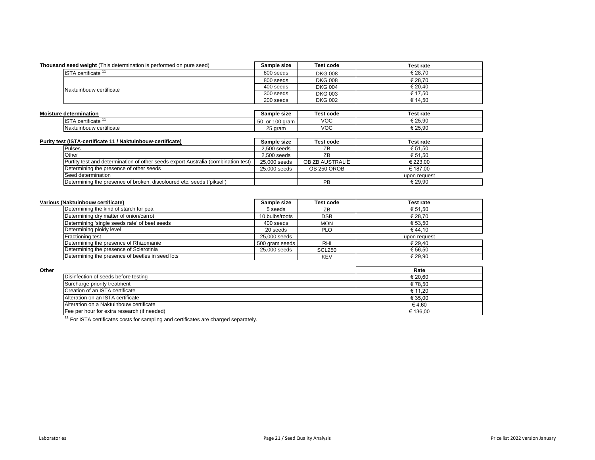| <b>Thousand seed weight</b> (This determination is performed on pure seed) | Sample size | <b>Test code</b> | <b>Test rate</b> |
|----------------------------------------------------------------------------|-------------|------------------|------------------|
| ISTA certificate <sup>11</sup>                                             | 800 seeds   | <b>DKG 008</b>   | € 28.70          |
|                                                                            | 800 seeds   | <b>DKG 008</b>   | € 28.70          |
| Naktuinbouw certificate                                                    | 400 seeds   | <b>DKG 004</b>   | € 20.40          |
|                                                                            | 300 seeds   | <b>DKG 003</b>   | € 17.50          |
|                                                                            | 200 seeds   | <b>DKG 002</b>   | € 14.50          |
|                                                                            |             |                  |                  |

| <b>Moisture determination</b>                | Sample size                         | Test code | Test rate |
|----------------------------------------------|-------------------------------------|-----------|-----------|
| $\cdots$<br><b>IST</b><br>A certificate<br>. | $\alpha$<br>gram<br>.5U<br>ιυυ<br>v | VOC       | € 25.90   |
| . .<br>Naktuinbouw certificate               | $\sim$<br>aram<br>20 I              | VOC       | € 25,90   |

| Purity test (ISTA-certificate 11 / Naktuinbouw-certificate)                        | Sample size   | <b>Test code</b> | Test rate    |
|------------------------------------------------------------------------------------|---------------|------------------|--------------|
| Pulses                                                                             | $2.500$ seeds | ZB               | € 51.50      |
| <b>Other</b>                                                                       | $2.500$ seeds | ZB               | € 51.50      |
| (Purtity test and determination of other seeds export Australia (combination test) | 25,000 seeds  | OB ZB AUSTRALIË  | € 223.00     |
| Determining the presence of other seeds                                            | 25,000 seeds  | OB 250 OROB      | € 187.00     |
| Seed determination                                                                 |               |                  | upon request |
| Determining the presence of broken, discoloured etc. seeds ('piksel')              |               | PB               | € 29.90      |

| Various (Naktuinbouw certificate)                | Sample size    | Test code     | <b>Test rate</b> |
|--------------------------------------------------|----------------|---------------|------------------|
| Determining the kind of starch for pea           | 5 seeds        | ZΒ            | € 51.50          |
| Determining dry matter of onion/carrot           | 10 bulbs/roots | <b>DSB</b>    | € 28.70          |
| Determining 'single seeds rate' of beet seeds    | 400 seeds      | <b>MON</b>    | € 53.50          |
| Determining ploidy level                         | 20 seeds       | <b>PLO</b>    | €44.10           |
| <b>Fractioning test</b>                          | 25,000 seeds   |               | upon request     |
| Determining the presence of Rhizomanie           | 500 gram seeds | RHI           | € 29.40          |
| Determining the presence of Sclerotinia          | 25,000 seeds   | <b>SCL250</b> | € 56.50          |
| Determining the presence of beetles in seed lots |                | <b>KEV</b>    | € 29.90          |

|                                             | Rate     |
|---------------------------------------------|----------|
| Disinfection of seeds before testing        | € 20,60  |
| Surcharge priority treatment                | € 78,50  |
| Creation of an ISTA certificate             | € 11.20  |
| Alteration on an ISTA certificate           | € 35,00  |
| Alteration on a Naktuinbouw certificate     | €4.60    |
| Fee per hour for extra research (if needed) | € 136.00 |

<sup>11</sup> For ISTA certificates costs for sampling and certificates are charged separately.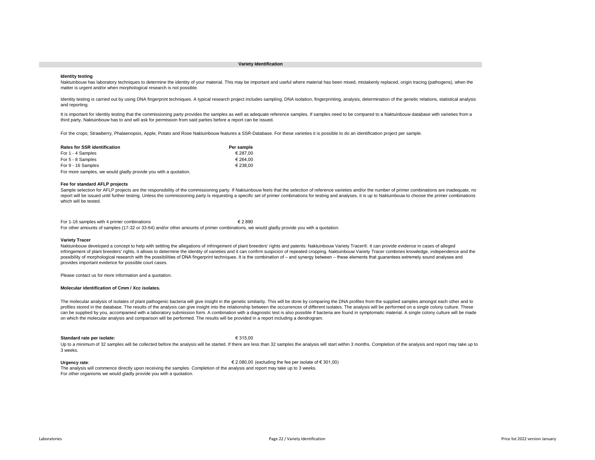#### **Variety Identification**

#### **Identity testing**

Naktuinbouw has laboratory techniques to determine the identity of your material. This may be important and useful where material has been mixed, mistakenly replaced, origin tracing (pathogens), when the matter is urgent and/or when morphological research is not possible.

Identity testing is carried out by using DNA fingerprint techniques. A typical research project includes sampling, DNA isolation, fingerprinting, analysis, determination of the genetic relations, statistical analysis and reporting.

It is important for identity testing that the commissioning party provides the samples as well as adequate reference samples. If samples need to be compared to a Naktuinbouw database with varieties from a third party, Naktuinbouw has to and will ask for permission from said parties before a report can be issued.

For the crops; Strawberry, Phalaenopsis, Apple, Potato and Rose Naktuinbouw features a SSR-Database. For these varieties it is possible to do an identification project per sample.

| <b>Rates for SSR identification</b>                             | Per sample |
|-----------------------------------------------------------------|------------|
| For 1 - 4 Samples                                               | € 287.00   |
| For 5 - 8 Samples                                               | € 264.00   |
| For 9 - 16 Samples                                              | € 238.00   |
| For more samples, we would gladly provide you with a quotation. |            |

#### **Fee for standard AFLP projects**

Sample selection for AFLP projects are the responsibility of the commissioning party. If Naktuinbouw feels that the selection of reference varieties and/or the number of primer combinations are inadequate, no report will be issued until further testing. Unless the commissioning party is requesting a specific set of primer combinations for testing and analyses, it is up to Naktuinbouw to choose the primer combinations which will be tested.

For 1-16 samples with 4 primer combinations  $\epsilon$  2.890 For other amounts of samples (17-32 or 33-64) and/or other amounts of primer combinations, we would gladly provide you with a quotation.

#### **Variety Tracer**

Naktuinbouw developed a concept to help with settling the allegations of infringement of plant breeders' rights and patents: Naktuinbouw Variety Tracer®. It can provide evidence in cases of alleged infringement of plant breeders' rights, it allows to determine the identity of varieties and it can confirm suspicion of repeated cropping. Naktuinbouw Variety Tracer combines knowledge, independence and the possibility of morphological research with the possibilities of DNA fingerprint techniques. It is the combination of – and synergy between – these elements that guarantees extremely sound analyses and provides important evidence for possible court cases.

Please contact us for more information and a quotation.

## **Molecular identification of Cmm / Xcc isolates.**

The molecular analysis of isolates of plant pathogenic bacteria will give insight in the genetic similarity. This will be done by comparing the DNA profiles from the supplied samples amongst each other and to profiles stored in the database. The results of the analysis can give insight into the relationship between the occurrences of different isolates. The analysis will be performed on a single colony culture. These can be supplied by you, accompanied with a laboratory submission form. A combination with a diagnostic test is also possible if bacteria are found in symptomatic material. A single colony culture will be made on which the molecular analysis and comparison will be performed. The results will be provided in a report including a dendrogram.

#### **Standard rate per isolate:** € 315,00

Up to a minimum of 32 samples will be collected before the analysis will be started. If there are less than 32 samples the analysis will start within 3 months. Completion of the analysis and report may take up to 3 weeks.

# **Urgency rate**: € 2.080,00 (excluding the fee per isolate of € 301,00)

The analysis will commence directly upon receiving the samples. Completion of the analysis and report may take up to 3 weeks. For other organisms we would gladly provide you with a quotation.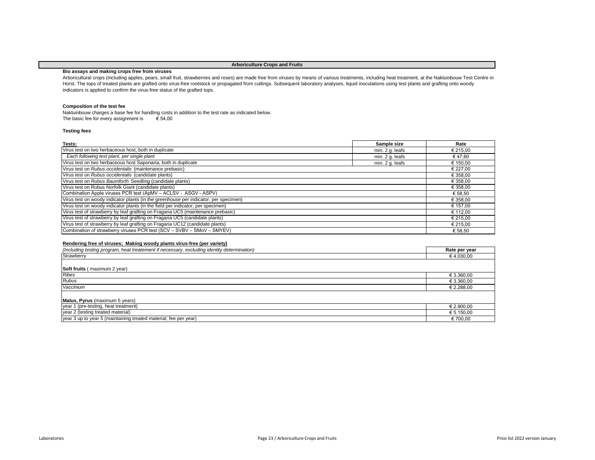# **Arboriculture Crops and Fruits**

# **Bio assays and making crops free from viruses**

Arboricultural crops (including apples, pears, small fruit, strawberries and roses) are made free from viruses by means of various treatments, including heat treatment, at the Naktuinbouw Test Centre in Horst. The tops of treated plants are grafted onto virus-free rootstock or propagated from cuttings. Subsequent laboratory analyses, liquid inoculations using test plants and grafting onto woody indicators is applied to confirm the virus-free status of the grafted tops.

## **Composition of the test fee**

The basic fee for every assignment is  $\epsilon$  54,00 Naktuinbouw charges a base fee for handling costs in addition to the test rate as indicated below.

# **Testing fees**

| Tests:                                                                               | Sample size     | Rate     |
|--------------------------------------------------------------------------------------|-----------------|----------|
| Virus test on two herbaceous host, both in duplicate                                 | min. 2 g. leafs | € 215,00 |
| Each following test plant, per single plant                                          | min. 2 g. leafs | € 47.60  |
| Virus test on two herbaceous host Saponaria, both in duplicate                       | min. 2 g. leafs | € 150,00 |
| Virus test on Rubus occidentalis (maintenance prebasic)                              |                 | € 227,00 |
| Virus test on Rubus occidentalis (candidate plants)                                  |                 | € 358,00 |
| Virus test on Rubus Baumforth Seedling (candidate plants)                            |                 | € 358,00 |
| Virus test on Rubus Norfolk Giant (candidate plants)                                 |                 | € 358,00 |
| Combination Apple viruses PCR test (ApMV - ACLSV - ASGV - ASPV)                      |                 | € 58,50  |
| Virus test on woody indicator plants (in the greenhouse per indicator, per specimen) |                 | € 358,00 |
| Virus test on woody indicator plants (in the field per indicator, per specimen)      |                 | € 157,00 |
| Virus test of strawberry by leaf grafting on Fragaria UC5 (maintenance prebasic)     |                 | € 112,00 |
| Virus test of strawberry by leaf grafting on Fragaria UC5 (candidate plants)         |                 | € 215,00 |
| Virus test of strawberry by leaf grafting on Fragaria UC12 (candidate plants)        |                 | € 215,00 |
| Combination of strawberry viruses PCR test (SCV - SVBV - SMoV - SMYEV)               |                 | € 58,50  |

## **Rendering free of viruses; Making woody plants virus-free (per variety)**

| (Including testing program, heat treatement if necessary, excluding identity determination) | Rate per year |
|---------------------------------------------------------------------------------------------|---------------|
| Strawberry                                                                                  | € 4.030,00    |
|                                                                                             |               |
| <b>Soft fruits</b> (maximum 2 year)                                                         |               |
| <b>Ribes</b>                                                                                | € 3.360,00    |
| <b>Rubus</b>                                                                                | € 3.360,00    |
| Vaccinium                                                                                   | € 2.288,00    |
|                                                                                             |               |
| Malus, Pyrus (maximum 5 years)                                                              |               |
| year 1 (pre-testing, heat treatment)                                                        | € 2.900,00    |
| year 2 (testing treated material)                                                           | € 5.150,00    |
| year 3 up to year 5 (maintaining treated material; fee per year)                            | € 700,00      |